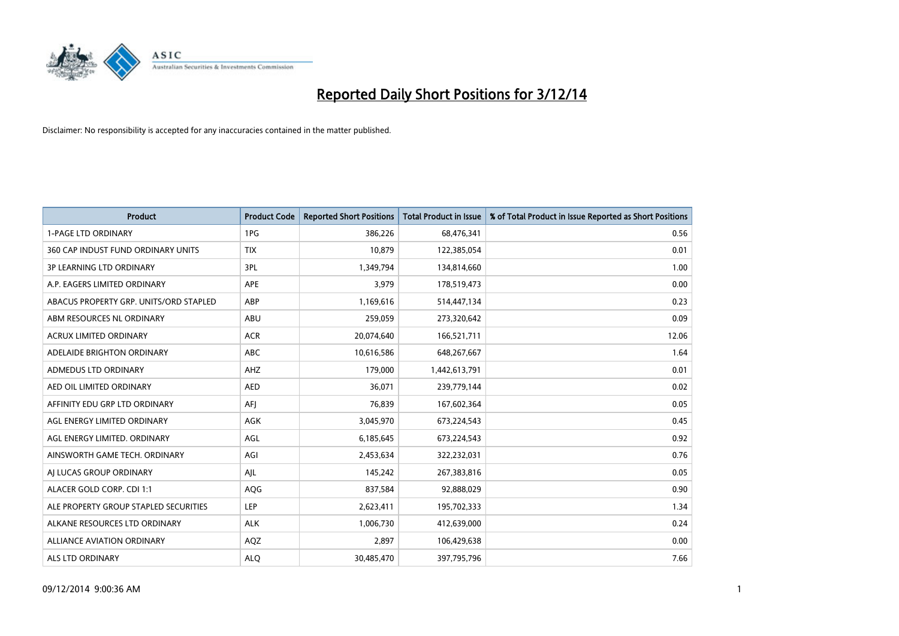

| <b>Product</b>                         | <b>Product Code</b> | <b>Reported Short Positions</b> | <b>Total Product in Issue</b> | % of Total Product in Issue Reported as Short Positions |
|----------------------------------------|---------------------|---------------------------------|-------------------------------|---------------------------------------------------------|
| <b>1-PAGE LTD ORDINARY</b>             | 1PG                 | 386,226                         | 68,476,341                    | 0.56                                                    |
| 360 CAP INDUST FUND ORDINARY UNITS     | <b>TIX</b>          | 10,879                          | 122,385,054                   | 0.01                                                    |
| <b>3P LEARNING LTD ORDINARY</b>        | 3PL                 | 1,349,794                       | 134,814,660                   | 1.00                                                    |
| A.P. EAGERS LIMITED ORDINARY           | <b>APE</b>          | 3,979                           | 178,519,473                   | 0.00                                                    |
| ABACUS PROPERTY GRP. UNITS/ORD STAPLED | ABP                 | 1,169,616                       | 514,447,134                   | 0.23                                                    |
| ABM RESOURCES NL ORDINARY              | ABU                 | 259,059                         | 273,320,642                   | 0.09                                                    |
| ACRUX LIMITED ORDINARY                 | <b>ACR</b>          | 20,074,640                      | 166,521,711                   | 12.06                                                   |
| ADELAIDE BRIGHTON ORDINARY             | <b>ABC</b>          | 10,616,586                      | 648,267,667                   | 1.64                                                    |
| <b>ADMEDUS LTD ORDINARY</b>            | AHZ                 | 179,000                         | 1,442,613,791                 | 0.01                                                    |
| AED OIL LIMITED ORDINARY               | <b>AED</b>          | 36,071                          | 239,779,144                   | 0.02                                                    |
| AFFINITY EDU GRP LTD ORDINARY          | AFJ                 | 76,839                          | 167,602,364                   | 0.05                                                    |
| AGL ENERGY LIMITED ORDINARY            | AGK                 | 3,045,970                       | 673,224,543                   | 0.45                                                    |
| AGL ENERGY LIMITED. ORDINARY           | AGL                 | 6,185,645                       | 673,224,543                   | 0.92                                                    |
| AINSWORTH GAME TECH. ORDINARY          | AGI                 | 2,453,634                       | 322,232,031                   | 0.76                                                    |
| AI LUCAS GROUP ORDINARY                | AJL                 | 145,242                         | 267,383,816                   | 0.05                                                    |
| ALACER GOLD CORP. CDI 1:1              | AQG                 | 837,584                         | 92,888,029                    | 0.90                                                    |
| ALE PROPERTY GROUP STAPLED SECURITIES  | LEP                 | 2,623,411                       | 195,702,333                   | 1.34                                                    |
| ALKANE RESOURCES LTD ORDINARY          | <b>ALK</b>          | 1,006,730                       | 412,639,000                   | 0.24                                                    |
| ALLIANCE AVIATION ORDINARY             | AQZ                 | 2,897                           | 106,429,638                   | 0.00                                                    |
| ALS LTD ORDINARY                       | <b>ALQ</b>          | 30,485,470                      | 397,795,796                   | 7.66                                                    |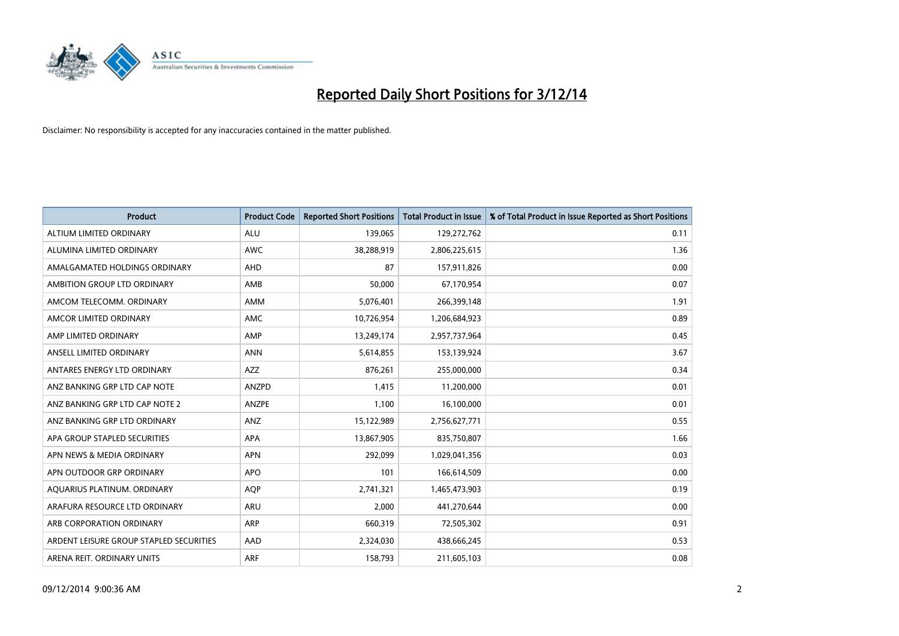

| <b>Product</b>                          | <b>Product Code</b> | <b>Reported Short Positions</b> | <b>Total Product in Issue</b> | % of Total Product in Issue Reported as Short Positions |
|-----------------------------------------|---------------------|---------------------------------|-------------------------------|---------------------------------------------------------|
| ALTIUM LIMITED ORDINARY                 | <b>ALU</b>          | 139,065                         | 129,272,762                   | 0.11                                                    |
| ALUMINA LIMITED ORDINARY                | AWC                 | 38,288,919                      | 2,806,225,615                 | 1.36                                                    |
| AMALGAMATED HOLDINGS ORDINARY           | AHD                 | 87                              | 157,911,826                   | 0.00                                                    |
| AMBITION GROUP LTD ORDINARY             | AMB                 | 50,000                          | 67,170,954                    | 0.07                                                    |
| AMCOM TELECOMM, ORDINARY                | AMM                 | 5,076,401                       | 266,399,148                   | 1.91                                                    |
| AMCOR LIMITED ORDINARY                  | AMC                 | 10,726,954                      | 1,206,684,923                 | 0.89                                                    |
| AMP LIMITED ORDINARY                    | AMP                 | 13,249,174                      | 2,957,737,964                 | 0.45                                                    |
| ANSELL LIMITED ORDINARY                 | <b>ANN</b>          | 5,614,855                       | 153,139,924                   | 3.67                                                    |
| ANTARES ENERGY LTD ORDINARY             | <b>AZZ</b>          | 876,261                         | 255,000,000                   | 0.34                                                    |
| ANZ BANKING GRP LTD CAP NOTE            | ANZPD               | 1,415                           | 11,200,000                    | 0.01                                                    |
| ANZ BANKING GRP LTD CAP NOTE 2          | ANZPE               | 1,100                           | 16,100,000                    | 0.01                                                    |
| ANZ BANKING GRP LTD ORDINARY            | ANZ                 | 15,122,989                      | 2,756,627,771                 | 0.55                                                    |
| APA GROUP STAPLED SECURITIES            | APA                 | 13,867,905                      | 835,750,807                   | 1.66                                                    |
| APN NEWS & MEDIA ORDINARY               | <b>APN</b>          | 292,099                         | 1,029,041,356                 | 0.03                                                    |
| APN OUTDOOR GRP ORDINARY                | <b>APO</b>          | 101                             | 166,614,509                   | 0.00                                                    |
| AQUARIUS PLATINUM. ORDINARY             | <b>AOP</b>          | 2,741,321                       | 1,465,473,903                 | 0.19                                                    |
| ARAFURA RESOURCE LTD ORDINARY           | ARU                 | 2,000                           | 441,270,644                   | 0.00                                                    |
| ARB CORPORATION ORDINARY                | ARP                 | 660,319                         | 72,505,302                    | 0.91                                                    |
| ARDENT LEISURE GROUP STAPLED SECURITIES | AAD                 | 2,324,030                       | 438,666,245                   | 0.53                                                    |
| ARENA REIT. ORDINARY UNITS              | <b>ARF</b>          | 158,793                         | 211,605,103                   | 0.08                                                    |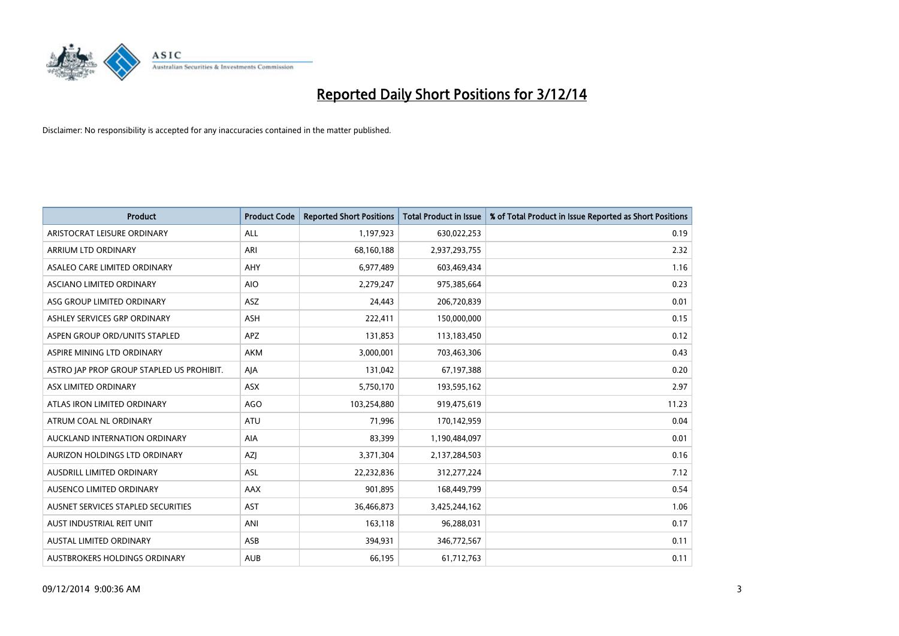

| <b>Product</b>                            | <b>Product Code</b> | <b>Reported Short Positions</b> | <b>Total Product in Issue</b> | % of Total Product in Issue Reported as Short Positions |
|-------------------------------------------|---------------------|---------------------------------|-------------------------------|---------------------------------------------------------|
| ARISTOCRAT LEISURE ORDINARY               | <b>ALL</b>          | 1,197,923                       | 630,022,253                   | 0.19                                                    |
| ARRIUM LTD ORDINARY                       | ARI                 | 68,160,188                      | 2,937,293,755                 | 2.32                                                    |
| ASALEO CARE LIMITED ORDINARY              | AHY                 | 6,977,489                       | 603,469,434                   | 1.16                                                    |
| ASCIANO LIMITED ORDINARY                  | <b>AIO</b>          | 2,279,247                       | 975,385,664                   | 0.23                                                    |
| ASG GROUP LIMITED ORDINARY                | ASZ                 | 24,443                          | 206,720,839                   | 0.01                                                    |
| ASHLEY SERVICES GRP ORDINARY              | <b>ASH</b>          | 222,411                         | 150,000,000                   | 0.15                                                    |
| ASPEN GROUP ORD/UNITS STAPLED             | APZ                 | 131,853                         | 113,183,450                   | 0.12                                                    |
| ASPIRE MINING LTD ORDINARY                | AKM                 | 3,000,001                       | 703,463,306                   | 0.43                                                    |
| ASTRO JAP PROP GROUP STAPLED US PROHIBIT. | AJA                 | 131,042                         | 67,197,388                    | 0.20                                                    |
| ASX LIMITED ORDINARY                      | ASX                 | 5,750,170                       | 193,595,162                   | 2.97                                                    |
| ATLAS IRON LIMITED ORDINARY               | <b>AGO</b>          | 103,254,880                     | 919,475,619                   | 11.23                                                   |
| ATRUM COAL NL ORDINARY                    | ATU                 | 71,996                          | 170,142,959                   | 0.04                                                    |
| AUCKLAND INTERNATION ORDINARY             | AIA                 | 83,399                          | 1,190,484,097                 | 0.01                                                    |
| AURIZON HOLDINGS LTD ORDINARY             | <b>AZI</b>          | 3,371,304                       | 2,137,284,503                 | 0.16                                                    |
| AUSDRILL LIMITED ORDINARY                 | <b>ASL</b>          | 22,232,836                      | 312,277,224                   | 7.12                                                    |
| AUSENCO LIMITED ORDINARY                  | AAX                 | 901,895                         | 168,449,799                   | 0.54                                                    |
| AUSNET SERVICES STAPLED SECURITIES        | <b>AST</b>          | 36,466,873                      | 3,425,244,162                 | 1.06                                                    |
| AUST INDUSTRIAL REIT UNIT                 | ANI                 | 163,118                         | 96,288,031                    | 0.17                                                    |
| <b>AUSTAL LIMITED ORDINARY</b>            | ASB                 | 394,931                         | 346,772,567                   | 0.11                                                    |
| AUSTBROKERS HOLDINGS ORDINARY             | <b>AUB</b>          | 66,195                          | 61,712,763                    | 0.11                                                    |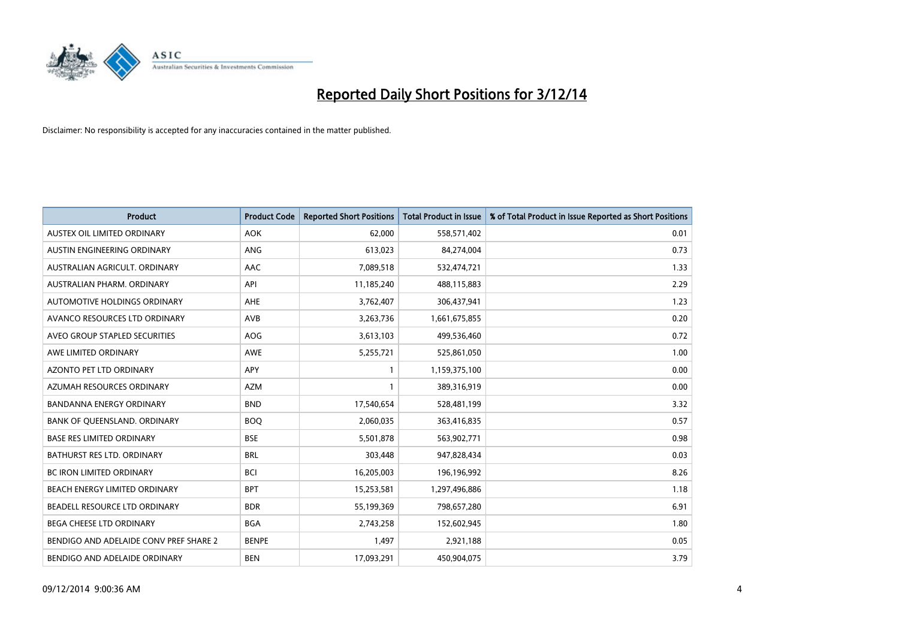

| <b>Product</b>                         | <b>Product Code</b> | <b>Reported Short Positions</b> | <b>Total Product in Issue</b> | % of Total Product in Issue Reported as Short Positions |
|----------------------------------------|---------------------|---------------------------------|-------------------------------|---------------------------------------------------------|
| AUSTEX OIL LIMITED ORDINARY            | <b>AOK</b>          | 62,000                          | 558,571,402                   | 0.01                                                    |
| AUSTIN ENGINEERING ORDINARY            | ANG                 | 613,023                         | 84,274,004                    | 0.73                                                    |
| AUSTRALIAN AGRICULT, ORDINARY          | AAC                 | 7,089,518                       | 532,474,721                   | 1.33                                                    |
| AUSTRALIAN PHARM. ORDINARY             | API                 | 11,185,240                      | 488,115,883                   | 2.29                                                    |
| AUTOMOTIVE HOLDINGS ORDINARY           | AHE                 | 3,762,407                       | 306,437,941                   | 1.23                                                    |
| AVANCO RESOURCES LTD ORDINARY          | AVB                 | 3,263,736                       | 1,661,675,855                 | 0.20                                                    |
| AVEO GROUP STAPLED SECURITIES          | AOG                 | 3,613,103                       | 499,536,460                   | 0.72                                                    |
| AWE LIMITED ORDINARY                   | AWE                 | 5,255,721                       | 525,861,050                   | 1.00                                                    |
| <b>AZONTO PET LTD ORDINARY</b>         | APY                 | $\mathbf{1}$                    | 1,159,375,100                 | 0.00                                                    |
| AZUMAH RESOURCES ORDINARY              | <b>AZM</b>          | 1                               | 389,316,919                   | 0.00                                                    |
| BANDANNA ENERGY ORDINARY               | <b>BND</b>          | 17,540,654                      | 528,481,199                   | 3.32                                                    |
| BANK OF QUEENSLAND. ORDINARY           | <b>BOQ</b>          | 2,060,035                       | 363,416,835                   | 0.57                                                    |
| <b>BASE RES LIMITED ORDINARY</b>       | <b>BSE</b>          | 5,501,878                       | 563,902,771                   | 0.98                                                    |
| <b>BATHURST RES LTD. ORDINARY</b>      | <b>BRL</b>          | 303,448                         | 947,828,434                   | 0.03                                                    |
| <b>BC IRON LIMITED ORDINARY</b>        | <b>BCI</b>          | 16,205,003                      | 196,196,992                   | 8.26                                                    |
| BEACH ENERGY LIMITED ORDINARY          | <b>BPT</b>          | 15,253,581                      | 1,297,496,886                 | 1.18                                                    |
| BEADELL RESOURCE LTD ORDINARY          | <b>BDR</b>          | 55,199,369                      | 798,657,280                   | 6.91                                                    |
| BEGA CHEESE LTD ORDINARY               | <b>BGA</b>          | 2,743,258                       | 152,602,945                   | 1.80                                                    |
| BENDIGO AND ADELAIDE CONV PREF SHARE 2 | <b>BENPE</b>        | 1,497                           | 2,921,188                     | 0.05                                                    |
| BENDIGO AND ADELAIDE ORDINARY          | <b>BEN</b>          | 17,093,291                      | 450,904,075                   | 3.79                                                    |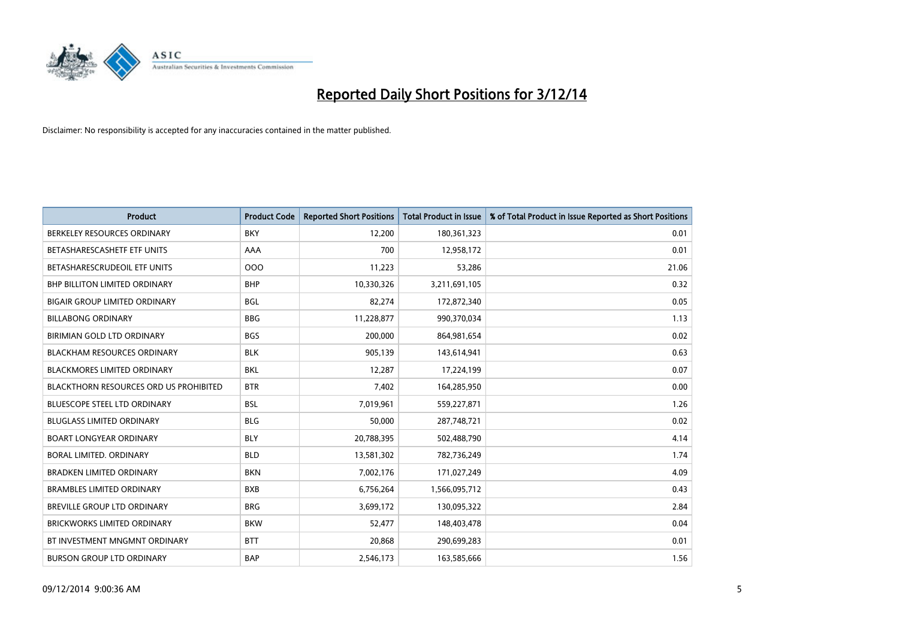

| <b>Product</b>                                | <b>Product Code</b> | <b>Reported Short Positions</b> | <b>Total Product in Issue</b> | % of Total Product in Issue Reported as Short Positions |
|-----------------------------------------------|---------------------|---------------------------------|-------------------------------|---------------------------------------------------------|
| BERKELEY RESOURCES ORDINARY                   | <b>BKY</b>          | 12,200                          | 180,361,323                   | 0.01                                                    |
| BETASHARESCASHETF ETF UNITS                   | AAA                 | 700                             | 12,958,172                    | 0.01                                                    |
| BETASHARESCRUDEOIL ETF UNITS                  | 000                 | 11,223                          | 53,286                        | 21.06                                                   |
| <b>BHP BILLITON LIMITED ORDINARY</b>          | <b>BHP</b>          | 10,330,326                      | 3,211,691,105                 | 0.32                                                    |
| <b>BIGAIR GROUP LIMITED ORDINARY</b>          | <b>BGL</b>          | 82,274                          | 172,872,340                   | 0.05                                                    |
| <b>BILLABONG ORDINARY</b>                     | <b>BBG</b>          | 11,228,877                      | 990,370,034                   | 1.13                                                    |
| BIRIMIAN GOLD LTD ORDINARY                    | <b>BGS</b>          | 200,000                         | 864,981,654                   | 0.02                                                    |
| <b>BLACKHAM RESOURCES ORDINARY</b>            | <b>BLK</b>          | 905,139                         | 143,614,941                   | 0.63                                                    |
| <b>BLACKMORES LIMITED ORDINARY</b>            | <b>BKL</b>          | 12,287                          | 17,224,199                    | 0.07                                                    |
| <b>BLACKTHORN RESOURCES ORD US PROHIBITED</b> | <b>BTR</b>          | 7,402                           | 164,285,950                   | 0.00                                                    |
| BLUESCOPE STEEL LTD ORDINARY                  | <b>BSL</b>          | 7,019,961                       | 559,227,871                   | 1.26                                                    |
| <b>BLUGLASS LIMITED ORDINARY</b>              | <b>BLG</b>          | 50,000                          | 287,748,721                   | 0.02                                                    |
| <b>BOART LONGYEAR ORDINARY</b>                | <b>BLY</b>          | 20,788,395                      | 502,488,790                   | 4.14                                                    |
| <b>BORAL LIMITED, ORDINARY</b>                | <b>BLD</b>          | 13,581,302                      | 782,736,249                   | 1.74                                                    |
| <b>BRADKEN LIMITED ORDINARY</b>               | <b>BKN</b>          | 7,002,176                       | 171,027,249                   | 4.09                                                    |
| <b>BRAMBLES LIMITED ORDINARY</b>              | <b>BXB</b>          | 6,756,264                       | 1,566,095,712                 | 0.43                                                    |
| BREVILLE GROUP LTD ORDINARY                   | <b>BRG</b>          | 3,699,172                       | 130,095,322                   | 2.84                                                    |
| <b>BRICKWORKS LIMITED ORDINARY</b>            | <b>BKW</b>          | 52,477                          | 148,403,478                   | 0.04                                                    |
| BT INVESTMENT MNGMNT ORDINARY                 | <b>BTT</b>          | 20,868                          | 290,699,283                   | 0.01                                                    |
| <b>BURSON GROUP LTD ORDINARY</b>              | <b>BAP</b>          | 2,546,173                       | 163,585,666                   | 1.56                                                    |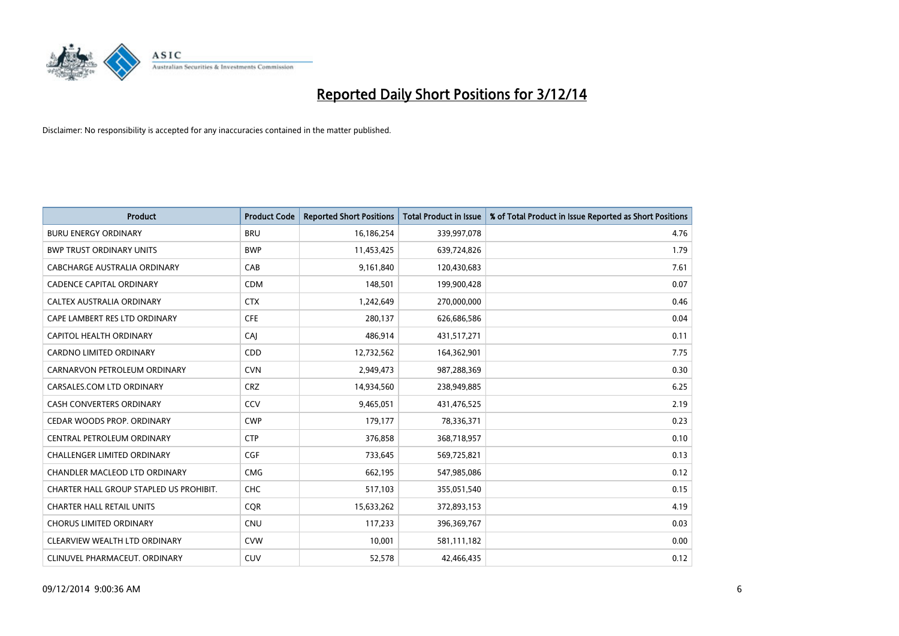

| <b>Product</b>                          | <b>Product Code</b> | <b>Reported Short Positions</b> | <b>Total Product in Issue</b> | % of Total Product in Issue Reported as Short Positions |
|-----------------------------------------|---------------------|---------------------------------|-------------------------------|---------------------------------------------------------|
| <b>BURU ENERGY ORDINARY</b>             | <b>BRU</b>          | 16,186,254                      | 339,997,078                   | 4.76                                                    |
| <b>BWP TRUST ORDINARY UNITS</b>         | <b>BWP</b>          | 11,453,425                      | 639,724,826                   | 1.79                                                    |
| CABCHARGE AUSTRALIA ORDINARY            | CAB                 | 9,161,840                       | 120,430,683                   | 7.61                                                    |
| <b>CADENCE CAPITAL ORDINARY</b>         | <b>CDM</b>          | 148,501                         | 199,900,428                   | 0.07                                                    |
| CALTEX AUSTRALIA ORDINARY               | <b>CTX</b>          | 1,242,649                       | 270,000,000                   | 0.46                                                    |
| CAPE LAMBERT RES LTD ORDINARY           | <b>CFE</b>          | 280,137                         | 626,686,586                   | 0.04                                                    |
| <b>CAPITOL HEALTH ORDINARY</b>          | CAJ                 | 486,914                         | 431,517,271                   | 0.11                                                    |
| CARDNO LIMITED ORDINARY                 | CDD                 | 12,732,562                      | 164,362,901                   | 7.75                                                    |
| CARNARVON PETROLEUM ORDINARY            | <b>CVN</b>          | 2,949,473                       | 987,288,369                   | 0.30                                                    |
| CARSALES.COM LTD ORDINARY               | <b>CRZ</b>          | 14,934,560                      | 238,949,885                   | 6.25                                                    |
| CASH CONVERTERS ORDINARY                | CCV                 | 9,465,051                       | 431,476,525                   | 2.19                                                    |
| CEDAR WOODS PROP. ORDINARY              | <b>CWP</b>          | 179,177                         | 78,336,371                    | 0.23                                                    |
| CENTRAL PETROLEUM ORDINARY              | <b>CTP</b>          | 376,858                         | 368,718,957                   | 0.10                                                    |
| <b>CHALLENGER LIMITED ORDINARY</b>      | <b>CGF</b>          | 733,645                         | 569,725,821                   | 0.13                                                    |
| CHANDLER MACLEOD LTD ORDINARY           | <b>CMG</b>          | 662,195                         | 547,985,086                   | 0.12                                                    |
| CHARTER HALL GROUP STAPLED US PROHIBIT. | <b>CHC</b>          | 517,103                         | 355,051,540                   | 0.15                                                    |
| <b>CHARTER HALL RETAIL UNITS</b>        | <b>CQR</b>          | 15,633,262                      | 372,893,153                   | 4.19                                                    |
| <b>CHORUS LIMITED ORDINARY</b>          | <b>CNU</b>          | 117,233                         | 396,369,767                   | 0.03                                                    |
| CLEARVIEW WEALTH LTD ORDINARY           | <b>CVW</b>          | 10,001                          | 581,111,182                   | 0.00                                                    |
| CLINUVEL PHARMACEUT. ORDINARY           | <b>CUV</b>          | 52,578                          | 42,466,435                    | 0.12                                                    |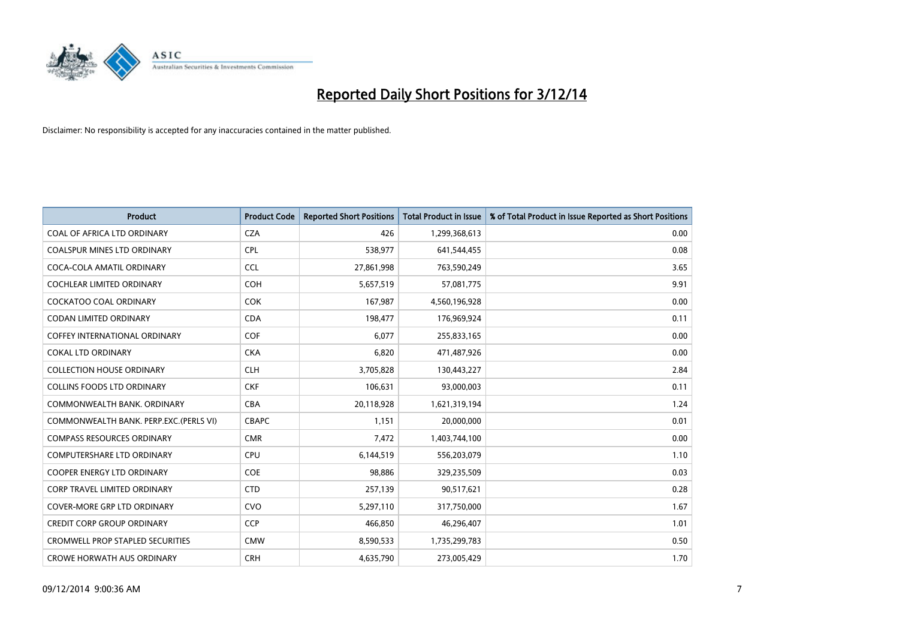

| <b>Product</b>                          | <b>Product Code</b> | <b>Reported Short Positions</b> | <b>Total Product in Issue</b> | % of Total Product in Issue Reported as Short Positions |
|-----------------------------------------|---------------------|---------------------------------|-------------------------------|---------------------------------------------------------|
| COAL OF AFRICA LTD ORDINARY             | <b>CZA</b>          | 426                             | 1,299,368,613                 | 0.00                                                    |
| COALSPUR MINES LTD ORDINARY             | <b>CPL</b>          | 538,977                         | 641,544,455                   | 0.08                                                    |
| COCA-COLA AMATIL ORDINARY               | <b>CCL</b>          | 27,861,998                      | 763,590,249                   | 3.65                                                    |
| COCHLEAR LIMITED ORDINARY               | <b>COH</b>          | 5,657,519                       | 57,081,775                    | 9.91                                                    |
| <b>COCKATOO COAL ORDINARY</b>           | <b>COK</b>          | 167,987                         | 4,560,196,928                 | 0.00                                                    |
| <b>CODAN LIMITED ORDINARY</b>           | <b>CDA</b>          | 198,477                         | 176,969,924                   | 0.11                                                    |
| COFFEY INTERNATIONAL ORDINARY           | <b>COF</b>          | 6,077                           | 255,833,165                   | 0.00                                                    |
| <b>COKAL LTD ORDINARY</b>               | <b>CKA</b>          | 6,820                           | 471,487,926                   | 0.00                                                    |
| <b>COLLECTION HOUSE ORDINARY</b>        | <b>CLH</b>          | 3,705,828                       | 130,443,227                   | 2.84                                                    |
| <b>COLLINS FOODS LTD ORDINARY</b>       | <b>CKF</b>          | 106,631                         | 93,000,003                    | 0.11                                                    |
| COMMONWEALTH BANK, ORDINARY             | <b>CBA</b>          | 20,118,928                      | 1,621,319,194                 | 1.24                                                    |
| COMMONWEALTH BANK, PERP.EXC. (PERLS VI) | <b>CBAPC</b>        | 1,151                           | 20,000,000                    | 0.01                                                    |
| <b>COMPASS RESOURCES ORDINARY</b>       | <b>CMR</b>          | 7,472                           | 1,403,744,100                 | 0.00                                                    |
| <b>COMPUTERSHARE LTD ORDINARY</b>       | <b>CPU</b>          | 6,144,519                       | 556,203,079                   | 1.10                                                    |
| <b>COOPER ENERGY LTD ORDINARY</b>       | <b>COE</b>          | 98,886                          | 329,235,509                   | 0.03                                                    |
| <b>CORP TRAVEL LIMITED ORDINARY</b>     | <b>CTD</b>          | 257,139                         | 90,517,621                    | 0.28                                                    |
| COVER-MORE GRP LTD ORDINARY             | <b>CVO</b>          | 5,297,110                       | 317,750,000                   | 1.67                                                    |
| <b>CREDIT CORP GROUP ORDINARY</b>       | <b>CCP</b>          | 466,850                         | 46,296,407                    | 1.01                                                    |
| <b>CROMWELL PROP STAPLED SECURITIES</b> | <b>CMW</b>          | 8,590,533                       | 1,735,299,783                 | 0.50                                                    |
| <b>CROWE HORWATH AUS ORDINARY</b>       | <b>CRH</b>          | 4,635,790                       | 273,005,429                   | 1.70                                                    |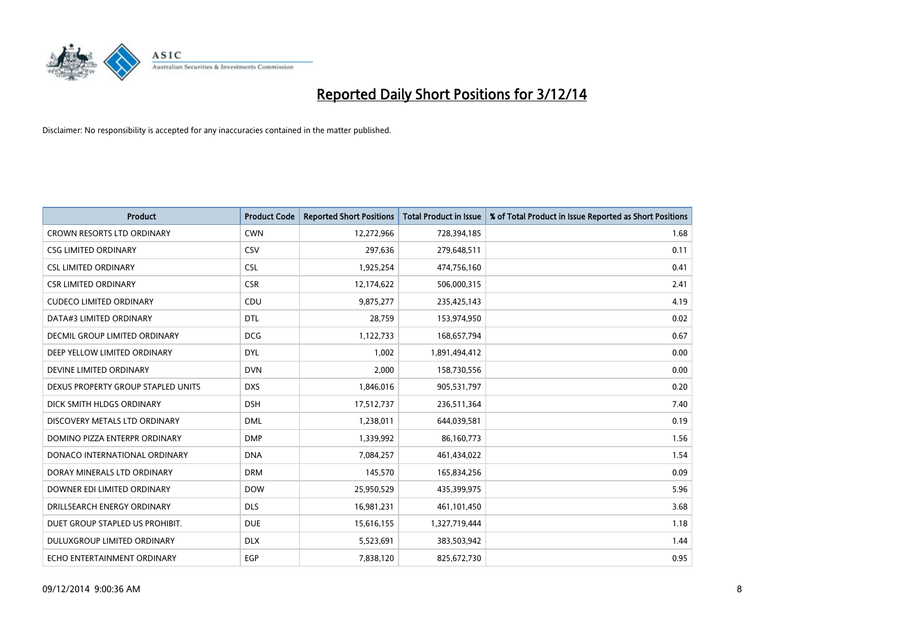

| <b>Product</b>                       | <b>Product Code</b> | <b>Reported Short Positions</b> | <b>Total Product in Issue</b> | % of Total Product in Issue Reported as Short Positions |
|--------------------------------------|---------------------|---------------------------------|-------------------------------|---------------------------------------------------------|
| <b>CROWN RESORTS LTD ORDINARY</b>    | <b>CWN</b>          | 12,272,966                      | 728,394,185                   | 1.68                                                    |
| <b>CSG LIMITED ORDINARY</b>          | CSV                 | 297,636                         | 279,648,511                   | 0.11                                                    |
| <b>CSL LIMITED ORDINARY</b>          | <b>CSL</b>          | 1,925,254                       | 474,756,160                   | 0.41                                                    |
| <b>CSR LIMITED ORDINARY</b>          | <b>CSR</b>          | 12,174,622                      | 506,000,315                   | 2.41                                                    |
| <b>CUDECO LIMITED ORDINARY</b>       | CDU                 | 9,875,277                       | 235,425,143                   | 4.19                                                    |
| DATA#3 LIMITED ORDINARY              | <b>DTL</b>          | 28,759                          | 153,974,950                   | 0.02                                                    |
| <b>DECMIL GROUP LIMITED ORDINARY</b> | <b>DCG</b>          | 1,122,733                       | 168,657,794                   | 0.67                                                    |
| DEEP YELLOW LIMITED ORDINARY         | <b>DYL</b>          | 1,002                           | 1,891,494,412                 | 0.00                                                    |
| DEVINE LIMITED ORDINARY              | <b>DVN</b>          | 2,000                           | 158,730,556                   | 0.00                                                    |
| DEXUS PROPERTY GROUP STAPLED UNITS   | <b>DXS</b>          | 1,846,016                       | 905,531,797                   | 0.20                                                    |
| DICK SMITH HLDGS ORDINARY            | <b>DSH</b>          | 17,512,737                      | 236,511,364                   | 7.40                                                    |
| DISCOVERY METALS LTD ORDINARY        | <b>DML</b>          | 1,238,011                       | 644,039,581                   | 0.19                                                    |
| DOMINO PIZZA ENTERPR ORDINARY        | <b>DMP</b>          | 1,339,992                       | 86,160,773                    | 1.56                                                    |
| DONACO INTERNATIONAL ORDINARY        | <b>DNA</b>          | 7,084,257                       | 461,434,022                   | 1.54                                                    |
| DORAY MINERALS LTD ORDINARY          | <b>DRM</b>          | 145,570                         | 165,834,256                   | 0.09                                                    |
| DOWNER EDI LIMITED ORDINARY          | <b>DOW</b>          | 25,950,529                      | 435,399,975                   | 5.96                                                    |
| DRILLSEARCH ENERGY ORDINARY          | <b>DLS</b>          | 16,981,231                      | 461,101,450                   | 3.68                                                    |
| DUET GROUP STAPLED US PROHIBIT.      | <b>DUE</b>          | 15,616,155                      | 1,327,719,444                 | 1.18                                                    |
| DULUXGROUP LIMITED ORDINARY          | <b>DLX</b>          | 5,523,691                       | 383,503,942                   | 1.44                                                    |
| ECHO ENTERTAINMENT ORDINARY          | <b>EGP</b>          | 7,838,120                       | 825,672,730                   | 0.95                                                    |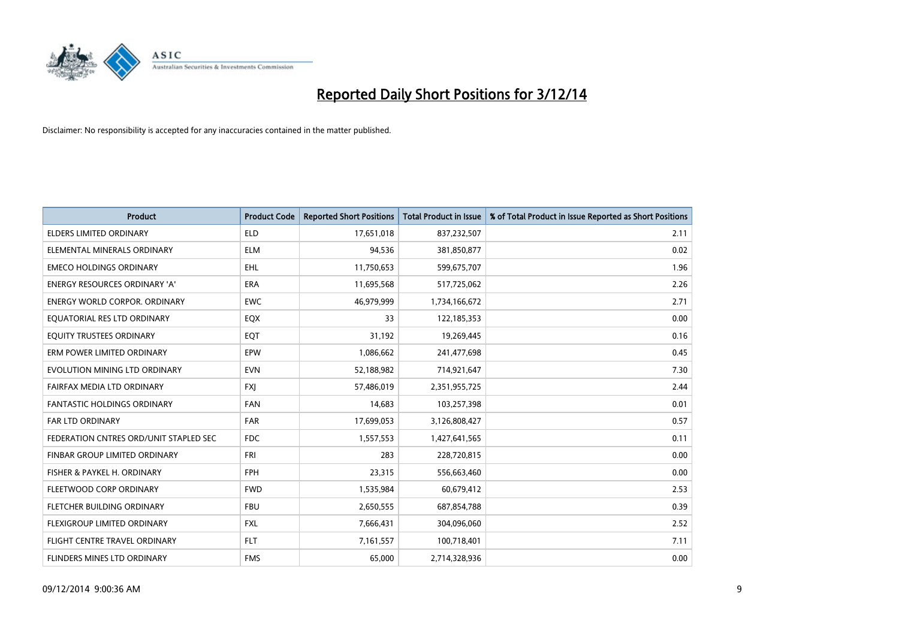

| <b>Product</b>                         | <b>Product Code</b> | <b>Reported Short Positions</b> | <b>Total Product in Issue</b> | % of Total Product in Issue Reported as Short Positions |
|----------------------------------------|---------------------|---------------------------------|-------------------------------|---------------------------------------------------------|
| <b>ELDERS LIMITED ORDINARY</b>         | <b>ELD</b>          | 17,651,018                      | 837,232,507                   | 2.11                                                    |
| ELEMENTAL MINERALS ORDINARY            | <b>ELM</b>          | 94,536                          | 381,850,877                   | 0.02                                                    |
| <b>EMECO HOLDINGS ORDINARY</b>         | <b>EHL</b>          | 11,750,653                      | 599,675,707                   | 1.96                                                    |
| ENERGY RESOURCES ORDINARY 'A'          | <b>ERA</b>          | 11,695,568                      | 517,725,062                   | 2.26                                                    |
| <b>ENERGY WORLD CORPOR, ORDINARY</b>   | <b>EWC</b>          | 46,979,999                      | 1,734,166,672                 | 2.71                                                    |
| EQUATORIAL RES LTD ORDINARY            | EQX                 | 33                              | 122,185,353                   | 0.00                                                    |
| EQUITY TRUSTEES ORDINARY               | EQT                 | 31,192                          | 19,269,445                    | 0.16                                                    |
| ERM POWER LIMITED ORDINARY             | <b>EPW</b>          | 1,086,662                       | 241,477,698                   | 0.45                                                    |
| EVOLUTION MINING LTD ORDINARY          | <b>EVN</b>          | 52,188,982                      | 714,921,647                   | 7.30                                                    |
| FAIRFAX MEDIA LTD ORDINARY             | <b>FXI</b>          | 57,486,019                      | 2,351,955,725                 | 2.44                                                    |
| <b>FANTASTIC HOLDINGS ORDINARY</b>     | <b>FAN</b>          | 14,683                          | 103,257,398                   | 0.01                                                    |
| <b>FAR LTD ORDINARY</b>                | FAR                 | 17,699,053                      | 3,126,808,427                 | 0.57                                                    |
| FEDERATION CNTRES ORD/UNIT STAPLED SEC | <b>FDC</b>          | 1,557,553                       | 1,427,641,565                 | 0.11                                                    |
| FINBAR GROUP LIMITED ORDINARY          | <b>FRI</b>          | 283                             | 228,720,815                   | 0.00                                                    |
| FISHER & PAYKEL H. ORDINARY            | <b>FPH</b>          | 23,315                          | 556,663,460                   | 0.00                                                    |
| FLEETWOOD CORP ORDINARY                | <b>FWD</b>          | 1,535,984                       | 60,679,412                    | 2.53                                                    |
| FLETCHER BUILDING ORDINARY             | <b>FBU</b>          | 2,650,555                       | 687,854,788                   | 0.39                                                    |
| FLEXIGROUP LIMITED ORDINARY            | <b>FXL</b>          | 7,666,431                       | 304,096,060                   | 2.52                                                    |
| FLIGHT CENTRE TRAVEL ORDINARY          | <b>FLT</b>          | 7,161,557                       | 100,718,401                   | 7.11                                                    |
| FLINDERS MINES LTD ORDINARY            | <b>FMS</b>          | 65,000                          | 2,714,328,936                 | 0.00                                                    |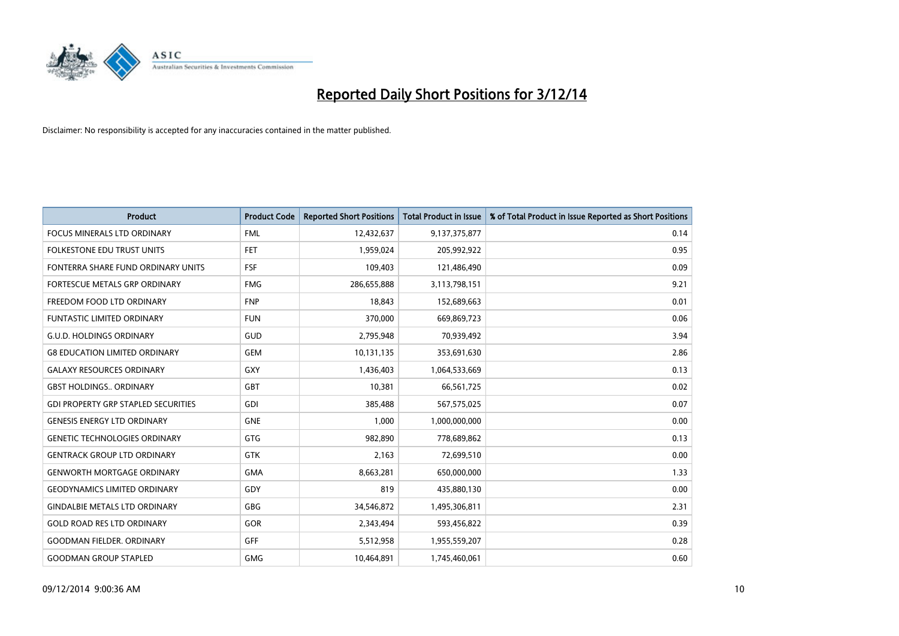

| <b>Product</b>                             | <b>Product Code</b> | <b>Reported Short Positions</b> | <b>Total Product in Issue</b> | % of Total Product in Issue Reported as Short Positions |
|--------------------------------------------|---------------------|---------------------------------|-------------------------------|---------------------------------------------------------|
| <b>FOCUS MINERALS LTD ORDINARY</b>         | <b>FML</b>          | 12,432,637                      | 9,137,375,877                 | 0.14                                                    |
| FOLKESTONE EDU TRUST UNITS                 | <b>FET</b>          | 1,959,024                       | 205,992,922                   | 0.95                                                    |
| FONTERRA SHARE FUND ORDINARY UNITS         | <b>FSF</b>          | 109,403                         | 121,486,490                   | 0.09                                                    |
| FORTESCUE METALS GRP ORDINARY              | <b>FMG</b>          | 286,655,888                     | 3,113,798,151                 | 9.21                                                    |
| FREEDOM FOOD LTD ORDINARY                  | <b>FNP</b>          | 18,843                          | 152,689,663                   | 0.01                                                    |
| <b>FUNTASTIC LIMITED ORDINARY</b>          | <b>FUN</b>          | 370,000                         | 669,869,723                   | 0.06                                                    |
| <b>G.U.D. HOLDINGS ORDINARY</b>            | GUD                 | 2,795,948                       | 70,939,492                    | 3.94                                                    |
| <b>G8 EDUCATION LIMITED ORDINARY</b>       | <b>GEM</b>          | 10,131,135                      | 353,691,630                   | 2.86                                                    |
| <b>GALAXY RESOURCES ORDINARY</b>           | <b>GXY</b>          | 1,436,403                       | 1,064,533,669                 | 0.13                                                    |
| <b>GBST HOLDINGS., ORDINARY</b>            | GBT                 | 10,381                          | 66,561,725                    | 0.02                                                    |
| <b>GDI PROPERTY GRP STAPLED SECURITIES</b> | <b>GDI</b>          | 385,488                         | 567,575,025                   | 0.07                                                    |
| <b>GENESIS ENERGY LTD ORDINARY</b>         | <b>GNE</b>          | 1,000                           | 1,000,000,000                 | 0.00                                                    |
| <b>GENETIC TECHNOLOGIES ORDINARY</b>       | <b>GTG</b>          | 982,890                         | 778,689,862                   | 0.13                                                    |
| <b>GENTRACK GROUP LTD ORDINARY</b>         | <b>GTK</b>          | 2,163                           | 72,699,510                    | 0.00                                                    |
| <b>GENWORTH MORTGAGE ORDINARY</b>          | <b>GMA</b>          | 8,663,281                       | 650,000,000                   | 1.33                                                    |
| <b>GEODYNAMICS LIMITED ORDINARY</b>        | GDY                 | 819                             | 435,880,130                   | 0.00                                                    |
| <b>GINDALBIE METALS LTD ORDINARY</b>       | GBG                 | 34,546,872                      | 1,495,306,811                 | 2.31                                                    |
| <b>GOLD ROAD RES LTD ORDINARY</b>          | <b>GOR</b>          | 2,343,494                       | 593,456,822                   | 0.39                                                    |
| <b>GOODMAN FIELDER. ORDINARY</b>           | GFF                 | 5,512,958                       | 1,955,559,207                 | 0.28                                                    |
| <b>GOODMAN GROUP STAPLED</b>               | <b>GMG</b>          | 10,464,891                      | 1,745,460,061                 | 0.60                                                    |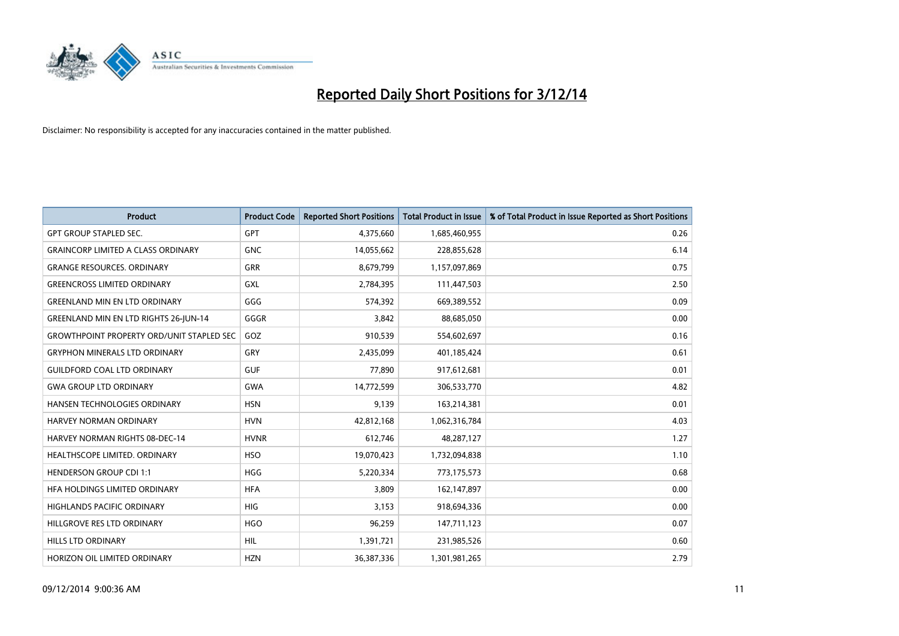

| <b>Product</b>                                   | <b>Product Code</b> | <b>Reported Short Positions</b> | <b>Total Product in Issue</b> | % of Total Product in Issue Reported as Short Positions |
|--------------------------------------------------|---------------------|---------------------------------|-------------------------------|---------------------------------------------------------|
| <b>GPT GROUP STAPLED SEC.</b>                    | <b>GPT</b>          | 4,375,660                       | 1,685,460,955                 | 0.26                                                    |
| <b>GRAINCORP LIMITED A CLASS ORDINARY</b>        | <b>GNC</b>          | 14,055,662                      | 228,855,628                   | 6.14                                                    |
| <b>GRANGE RESOURCES, ORDINARY</b>                | <b>GRR</b>          | 8,679,799                       | 1,157,097,869                 | 0.75                                                    |
| <b>GREENCROSS LIMITED ORDINARY</b>               | <b>GXL</b>          | 2,784,395                       | 111,447,503                   | 2.50                                                    |
| <b>GREENLAND MIN EN LTD ORDINARY</b>             | GGG                 | 574,392                         | 669,389,552                   | 0.09                                                    |
| GREENLAND MIN EN LTD RIGHTS 26-JUN-14            | GGGR                | 3,842                           | 88,685,050                    | 0.00                                                    |
| <b>GROWTHPOINT PROPERTY ORD/UNIT STAPLED SEC</b> | GOZ                 | 910,539                         | 554,602,697                   | 0.16                                                    |
| <b>GRYPHON MINERALS LTD ORDINARY</b>             | GRY                 | 2,435,099                       | 401,185,424                   | 0.61                                                    |
| <b>GUILDFORD COAL LTD ORDINARY</b>               | <b>GUF</b>          | 77,890                          | 917,612,681                   | 0.01                                                    |
| <b>GWA GROUP LTD ORDINARY</b>                    | <b>GWA</b>          | 14,772,599                      | 306,533,770                   | 4.82                                                    |
| HANSEN TECHNOLOGIES ORDINARY                     | <b>HSN</b>          | 9,139                           | 163,214,381                   | 0.01                                                    |
| HARVEY NORMAN ORDINARY                           | <b>HVN</b>          | 42,812,168                      | 1,062,316,784                 | 4.03                                                    |
| <b>HARVEY NORMAN RIGHTS 08-DEC-14</b>            | <b>HVNR</b>         | 612,746                         | 48,287,127                    | 1.27                                                    |
| HEALTHSCOPE LIMITED. ORDINARY                    | <b>HSO</b>          | 19,070,423                      | 1,732,094,838                 | 1.10                                                    |
| <b>HENDERSON GROUP CDI 1:1</b>                   | <b>HGG</b>          | 5,220,334                       | 773,175,573                   | 0.68                                                    |
| HFA HOLDINGS LIMITED ORDINARY                    | <b>HFA</b>          | 3,809                           | 162,147,897                   | 0.00                                                    |
| <b>HIGHLANDS PACIFIC ORDINARY</b>                | <b>HIG</b>          | 3,153                           | 918,694,336                   | 0.00                                                    |
| HILLGROVE RES LTD ORDINARY                       | <b>HGO</b>          | 96,259                          | 147,711,123                   | 0.07                                                    |
| <b>HILLS LTD ORDINARY</b>                        | <b>HIL</b>          | 1,391,721                       | 231,985,526                   | 0.60                                                    |
| HORIZON OIL LIMITED ORDINARY                     | <b>HZN</b>          | 36,387,336                      | 1,301,981,265                 | 2.79                                                    |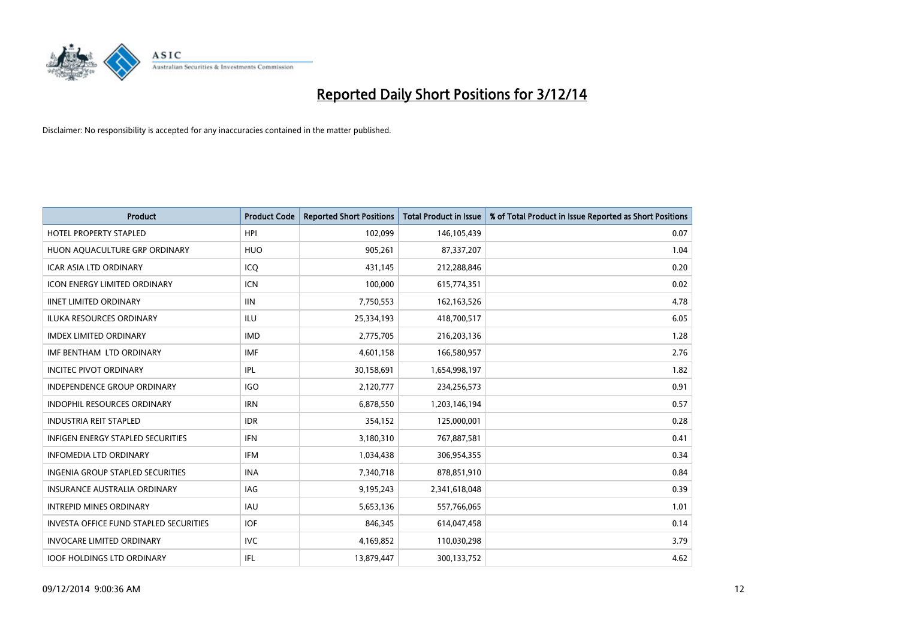

| <b>Product</b>                                | <b>Product Code</b> | <b>Reported Short Positions</b> | <b>Total Product in Issue</b> | % of Total Product in Issue Reported as Short Positions |
|-----------------------------------------------|---------------------|---------------------------------|-------------------------------|---------------------------------------------------------|
| <b>HOTEL PROPERTY STAPLED</b>                 | <b>HPI</b>          | 102,099                         | 146,105,439                   | 0.07                                                    |
| HUON AQUACULTURE GRP ORDINARY                 | <b>HUO</b>          | 905,261                         | 87,337,207                    | 1.04                                                    |
| <b>ICAR ASIA LTD ORDINARY</b>                 | ICQ                 | 431.145                         | 212,288,846                   | 0.20                                                    |
| <b>ICON ENERGY LIMITED ORDINARY</b>           | <b>ICN</b>          | 100,000                         | 615,774,351                   | 0.02                                                    |
| <b>IINET LIMITED ORDINARY</b>                 | <b>IIN</b>          | 7,750,553                       | 162, 163, 526                 | 4.78                                                    |
| <b>ILUKA RESOURCES ORDINARY</b>               | <b>ILU</b>          | 25,334,193                      | 418,700,517                   | 6.05                                                    |
| <b>IMDEX LIMITED ORDINARY</b>                 | <b>IMD</b>          | 2,775,705                       | 216,203,136                   | 1.28                                                    |
| IMF BENTHAM LTD ORDINARY                      | <b>IMF</b>          | 4,601,158                       | 166,580,957                   | 2.76                                                    |
| <b>INCITEC PIVOT ORDINARY</b>                 | IPL                 | 30,158,691                      | 1,654,998,197                 | 1.82                                                    |
| <b>INDEPENDENCE GROUP ORDINARY</b>            | <b>IGO</b>          | 2,120,777                       | 234,256,573                   | 0.91                                                    |
| INDOPHIL RESOURCES ORDINARY                   | <b>IRN</b>          | 6,878,550                       | 1,203,146,194                 | 0.57                                                    |
| <b>INDUSTRIA REIT STAPLED</b>                 | <b>IDR</b>          | 354,152                         | 125,000,001                   | 0.28                                                    |
| INFIGEN ENERGY STAPLED SECURITIES             | <b>IFN</b>          | 3,180,310                       | 767,887,581                   | 0.41                                                    |
| <b>INFOMEDIA LTD ORDINARY</b>                 | <b>IFM</b>          | 1,034,438                       | 306,954,355                   | 0.34                                                    |
| INGENIA GROUP STAPLED SECURITIES              | <b>INA</b>          | 7,340,718                       | 878,851,910                   | 0.84                                                    |
| INSURANCE AUSTRALIA ORDINARY                  | IAG                 | 9,195,243                       | 2,341,618,048                 | 0.39                                                    |
| <b>INTREPID MINES ORDINARY</b>                | <b>IAU</b>          | 5,653,136                       | 557,766,065                   | 1.01                                                    |
| <b>INVESTA OFFICE FUND STAPLED SECURITIES</b> | <b>IOF</b>          | 846,345                         | 614,047,458                   | 0.14                                                    |
| <b>INVOCARE LIMITED ORDINARY</b>              | IVC                 | 4,169,852                       | 110,030,298                   | 3.79                                                    |
| <b>IOOF HOLDINGS LTD ORDINARY</b>             | IFL                 | 13,879,447                      | 300,133,752                   | 4.62                                                    |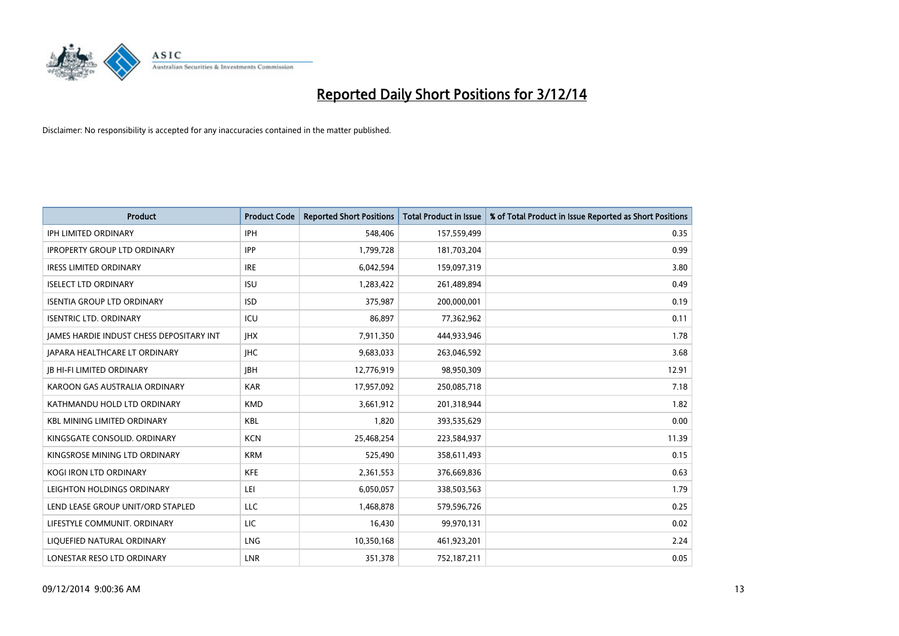

| <b>Product</b>                                  | <b>Product Code</b> | <b>Reported Short Positions</b> | <b>Total Product in Issue</b> | % of Total Product in Issue Reported as Short Positions |
|-------------------------------------------------|---------------------|---------------------------------|-------------------------------|---------------------------------------------------------|
| <b>IPH LIMITED ORDINARY</b>                     | <b>IPH</b>          | 548,406                         | 157,559,499                   | 0.35                                                    |
| <b>IPROPERTY GROUP LTD ORDINARY</b>             | <b>IPP</b>          | 1,799,728                       | 181,703,204                   | 0.99                                                    |
| <b>IRESS LIMITED ORDINARY</b>                   | <b>IRE</b>          | 6,042,594                       | 159,097,319                   | 3.80                                                    |
| <b>ISELECT LTD ORDINARY</b>                     | <b>ISU</b>          | 1,283,422                       | 261,489,894                   | 0.49                                                    |
| <b>ISENTIA GROUP LTD ORDINARY</b>               | <b>ISD</b>          | 375,987                         | 200,000,001                   | 0.19                                                    |
| <b>ISENTRIC LTD. ORDINARY</b>                   | ICU                 | 86,897                          | 77,362,962                    | 0.11                                                    |
| <b>JAMES HARDIE INDUST CHESS DEPOSITARY INT</b> | <b>IHX</b>          | 7,911,350                       | 444,933,946                   | 1.78                                                    |
| <b>JAPARA HEALTHCARE LT ORDINARY</b>            | <b>IHC</b>          | 9,683,033                       | 263,046,592                   | 3.68                                                    |
| <b>JB HI-FI LIMITED ORDINARY</b>                | <b>JBH</b>          | 12,776,919                      | 98,950,309                    | 12.91                                                   |
| KAROON GAS AUSTRALIA ORDINARY                   | <b>KAR</b>          | 17,957,092                      | 250,085,718                   | 7.18                                                    |
| KATHMANDU HOLD LTD ORDINARY                     | <b>KMD</b>          | 3,661,912                       | 201,318,944                   | 1.82                                                    |
| <b>KBL MINING LIMITED ORDINARY</b>              | <b>KBL</b>          | 1,820                           | 393,535,629                   | 0.00                                                    |
| KINGSGATE CONSOLID. ORDINARY                    | <b>KCN</b>          | 25,468,254                      | 223,584,937                   | 11.39                                                   |
| KINGSROSE MINING LTD ORDINARY                   | <b>KRM</b>          | 525,490                         | 358,611,493                   | 0.15                                                    |
| <b>KOGI IRON LTD ORDINARY</b>                   | <b>KFE</b>          | 2,361,553                       | 376,669,836                   | 0.63                                                    |
| LEIGHTON HOLDINGS ORDINARY                      | LEI                 | 6,050,057                       | 338,503,563                   | 1.79                                                    |
| LEND LEASE GROUP UNIT/ORD STAPLED               | LLC                 | 1,468,878                       | 579,596,726                   | 0.25                                                    |
| LIFESTYLE COMMUNIT. ORDINARY                    | LIC                 | 16,430                          | 99,970,131                    | 0.02                                                    |
| LIQUEFIED NATURAL ORDINARY                      | LNG                 | 10,350,168                      | 461,923,201                   | 2.24                                                    |
| LONESTAR RESO LTD ORDINARY                      | <b>LNR</b>          | 351,378                         | 752,187,211                   | 0.05                                                    |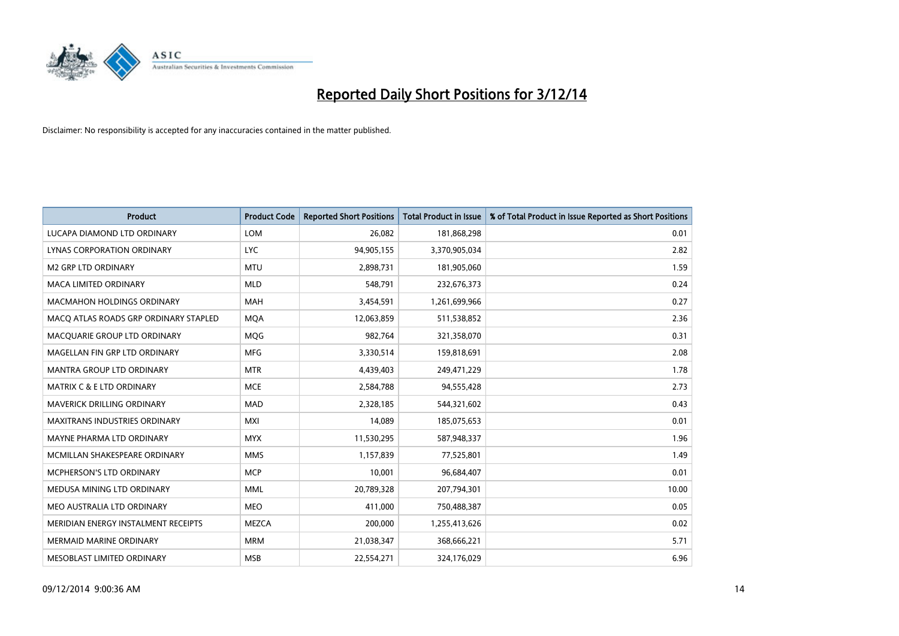

| <b>Product</b>                        | <b>Product Code</b> | <b>Reported Short Positions</b> | <b>Total Product in Issue</b> | % of Total Product in Issue Reported as Short Positions |
|---------------------------------------|---------------------|---------------------------------|-------------------------------|---------------------------------------------------------|
| LUCAPA DIAMOND LTD ORDINARY           | LOM                 | 26,082                          | 181,868,298                   | 0.01                                                    |
| LYNAS CORPORATION ORDINARY            | <b>LYC</b>          | 94,905,155                      | 3,370,905,034                 | 2.82                                                    |
| M2 GRP LTD ORDINARY                   | <b>MTU</b>          | 2,898,731                       | 181,905,060                   | 1.59                                                    |
| MACA LIMITED ORDINARY                 | <b>MLD</b>          | 548,791                         | 232,676,373                   | 0.24                                                    |
| <b>MACMAHON HOLDINGS ORDINARY</b>     | <b>MAH</b>          | 3,454,591                       | 1,261,699,966                 | 0.27                                                    |
| MACO ATLAS ROADS GRP ORDINARY STAPLED | <b>MQA</b>          | 12,063,859                      | 511,538,852                   | 2.36                                                    |
| MACQUARIE GROUP LTD ORDINARY          | <b>MOG</b>          | 982,764                         | 321,358,070                   | 0.31                                                    |
| MAGELLAN FIN GRP LTD ORDINARY         | <b>MFG</b>          | 3,330,514                       | 159,818,691                   | 2.08                                                    |
| <b>MANTRA GROUP LTD ORDINARY</b>      | <b>MTR</b>          | 4,439,403                       | 249,471,229                   | 1.78                                                    |
| <b>MATRIX C &amp; E LTD ORDINARY</b>  | <b>MCE</b>          | 2,584,788                       | 94,555,428                    | 2.73                                                    |
| MAVERICK DRILLING ORDINARY            | <b>MAD</b>          | 2,328,185                       | 544,321,602                   | 0.43                                                    |
| <b>MAXITRANS INDUSTRIES ORDINARY</b>  | <b>MXI</b>          | 14,089                          | 185,075,653                   | 0.01                                                    |
| MAYNE PHARMA LTD ORDINARY             | <b>MYX</b>          | 11,530,295                      | 587,948,337                   | 1.96                                                    |
| MCMILLAN SHAKESPEARE ORDINARY         | <b>MMS</b>          | 1,157,839                       | 77,525,801                    | 1.49                                                    |
| <b>MCPHERSON'S LTD ORDINARY</b>       | <b>MCP</b>          | 10,001                          | 96,684,407                    | 0.01                                                    |
| MEDUSA MINING LTD ORDINARY            | <b>MML</b>          | 20,789,328                      | 207,794,301                   | 10.00                                                   |
| MEO AUSTRALIA LTD ORDINARY            | <b>MEO</b>          | 411,000                         | 750,488,387                   | 0.05                                                    |
| MERIDIAN ENERGY INSTALMENT RECEIPTS   | <b>MEZCA</b>        | 200,000                         | 1,255,413,626                 | 0.02                                                    |
| <b>MERMAID MARINE ORDINARY</b>        | <b>MRM</b>          | 21,038,347                      | 368,666,221                   | 5.71                                                    |
| MESOBLAST LIMITED ORDINARY            | <b>MSB</b>          | 22,554,271                      | 324,176,029                   | 6.96                                                    |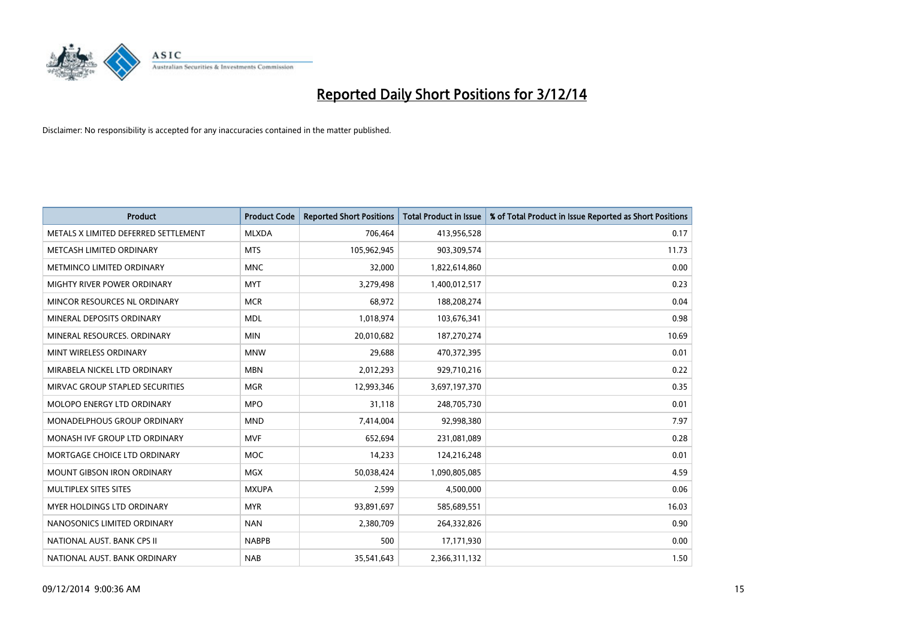

| <b>Product</b>                       | <b>Product Code</b> | <b>Reported Short Positions</b> | <b>Total Product in Issue</b> | % of Total Product in Issue Reported as Short Positions |
|--------------------------------------|---------------------|---------------------------------|-------------------------------|---------------------------------------------------------|
| METALS X LIMITED DEFERRED SETTLEMENT | <b>MLXDA</b>        | 706,464                         | 413,956,528                   | 0.17                                                    |
| METCASH LIMITED ORDINARY             | <b>MTS</b>          | 105,962,945                     | 903,309,574                   | 11.73                                                   |
| METMINCO LIMITED ORDINARY            | <b>MNC</b>          | 32,000                          | 1,822,614,860                 | 0.00                                                    |
| MIGHTY RIVER POWER ORDINARY          | <b>MYT</b>          | 3,279,498                       | 1,400,012,517                 | 0.23                                                    |
| MINCOR RESOURCES NL ORDINARY         | <b>MCR</b>          | 68,972                          | 188,208,274                   | 0.04                                                    |
| MINERAL DEPOSITS ORDINARY            | <b>MDL</b>          | 1,018,974                       | 103,676,341                   | 0.98                                                    |
| MINERAL RESOURCES, ORDINARY          | <b>MIN</b>          | 20,010,682                      | 187,270,274                   | 10.69                                                   |
| MINT WIRELESS ORDINARY               | <b>MNW</b>          | 29,688                          | 470,372,395                   | 0.01                                                    |
| MIRABELA NICKEL LTD ORDINARY         | <b>MBN</b>          | 2,012,293                       | 929,710,216                   | 0.22                                                    |
| MIRVAC GROUP STAPLED SECURITIES      | <b>MGR</b>          | 12,993,346                      | 3,697,197,370                 | 0.35                                                    |
| MOLOPO ENERGY LTD ORDINARY           | <b>MPO</b>          | 31,118                          | 248,705,730                   | 0.01                                                    |
| <b>MONADELPHOUS GROUP ORDINARY</b>   | <b>MND</b>          | 7,414,004                       | 92,998,380                    | 7.97                                                    |
| MONASH IVF GROUP LTD ORDINARY        | <b>MVF</b>          | 652,694                         | 231,081,089                   | 0.28                                                    |
| MORTGAGE CHOICE LTD ORDINARY         | <b>MOC</b>          | 14,233                          | 124,216,248                   | 0.01                                                    |
| <b>MOUNT GIBSON IRON ORDINARY</b>    | <b>MGX</b>          | 50,038,424                      | 1,090,805,085                 | 4.59                                                    |
| MULTIPLEX SITES SITES                | <b>MXUPA</b>        | 2,599                           | 4,500,000                     | 0.06                                                    |
| MYER HOLDINGS LTD ORDINARY           | <b>MYR</b>          | 93,891,697                      | 585,689,551                   | 16.03                                                   |
| NANOSONICS LIMITED ORDINARY          | <b>NAN</b>          | 2,380,709                       | 264,332,826                   | 0.90                                                    |
| NATIONAL AUST. BANK CPS II           | <b>NABPB</b>        | 500                             | 17,171,930                    | 0.00                                                    |
| NATIONAL AUST. BANK ORDINARY         | <b>NAB</b>          | 35,541,643                      | 2,366,311,132                 | 1.50                                                    |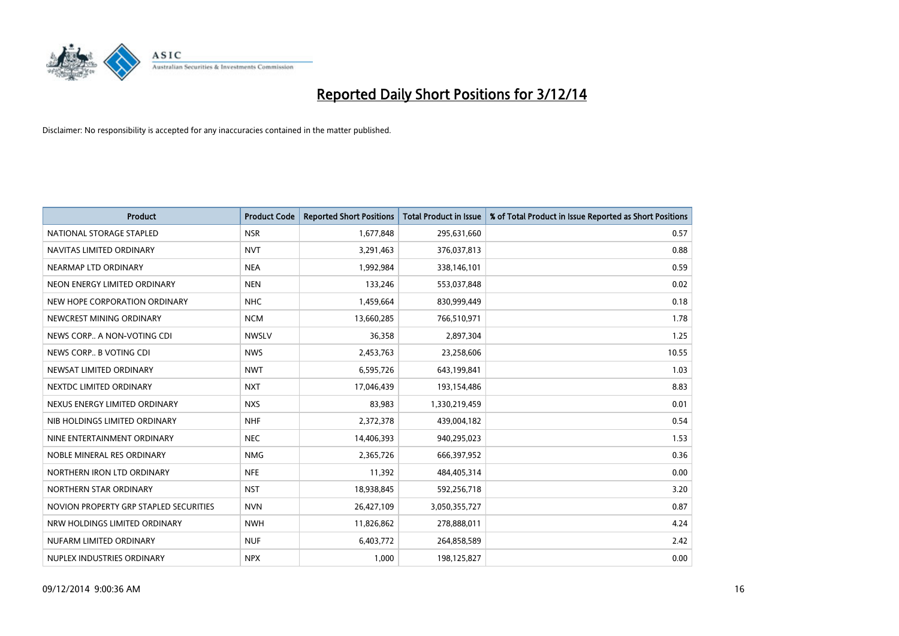

| <b>Product</b>                         | <b>Product Code</b> | <b>Reported Short Positions</b> | <b>Total Product in Issue</b> | % of Total Product in Issue Reported as Short Positions |
|----------------------------------------|---------------------|---------------------------------|-------------------------------|---------------------------------------------------------|
| NATIONAL STORAGE STAPLED               | <b>NSR</b>          | 1,677,848                       | 295,631,660                   | 0.57                                                    |
| NAVITAS LIMITED ORDINARY               | <b>NVT</b>          | 3,291,463                       | 376,037,813                   | 0.88                                                    |
| NEARMAP LTD ORDINARY                   | <b>NEA</b>          | 1,992,984                       | 338,146,101                   | 0.59                                                    |
| NEON ENERGY LIMITED ORDINARY           | <b>NEN</b>          | 133,246                         | 553,037,848                   | 0.02                                                    |
| NEW HOPE CORPORATION ORDINARY          | <b>NHC</b>          | 1,459,664                       | 830,999,449                   | 0.18                                                    |
| NEWCREST MINING ORDINARY               | <b>NCM</b>          | 13,660,285                      | 766,510,971                   | 1.78                                                    |
| NEWS CORP A NON-VOTING CDI             | <b>NWSLV</b>        | 36,358                          | 2,897,304                     | 1.25                                                    |
| NEWS CORP B VOTING CDI                 | <b>NWS</b>          | 2,453,763                       | 23,258,606                    | 10.55                                                   |
| NEWSAT LIMITED ORDINARY                | <b>NWT</b>          | 6,595,726                       | 643,199,841                   | 1.03                                                    |
| NEXTDC LIMITED ORDINARY                | <b>NXT</b>          | 17,046,439                      | 193,154,486                   | 8.83                                                    |
| NEXUS ENERGY LIMITED ORDINARY          | <b>NXS</b>          | 83,983                          | 1,330,219,459                 | 0.01                                                    |
| NIB HOLDINGS LIMITED ORDINARY          | <b>NHF</b>          | 2,372,378                       | 439,004,182                   | 0.54                                                    |
| NINE ENTERTAINMENT ORDINARY            | <b>NEC</b>          | 14,406,393                      | 940,295,023                   | 1.53                                                    |
| NOBLE MINERAL RES ORDINARY             | <b>NMG</b>          | 2,365,726                       | 666,397,952                   | 0.36                                                    |
| NORTHERN IRON LTD ORDINARY             | <b>NFE</b>          | 11,392                          | 484,405,314                   | 0.00                                                    |
| NORTHERN STAR ORDINARY                 | <b>NST</b>          | 18,938,845                      | 592,256,718                   | 3.20                                                    |
| NOVION PROPERTY GRP STAPLED SECURITIES | <b>NVN</b>          | 26,427,109                      | 3,050,355,727                 | 0.87                                                    |
| NRW HOLDINGS LIMITED ORDINARY          | <b>NWH</b>          | 11,826,862                      | 278,888,011                   | 4.24                                                    |
| NUFARM LIMITED ORDINARY                | <b>NUF</b>          | 6,403,772                       | 264,858,589                   | 2.42                                                    |
| NUPLEX INDUSTRIES ORDINARY             | <b>NPX</b>          | 1,000                           | 198,125,827                   | 0.00                                                    |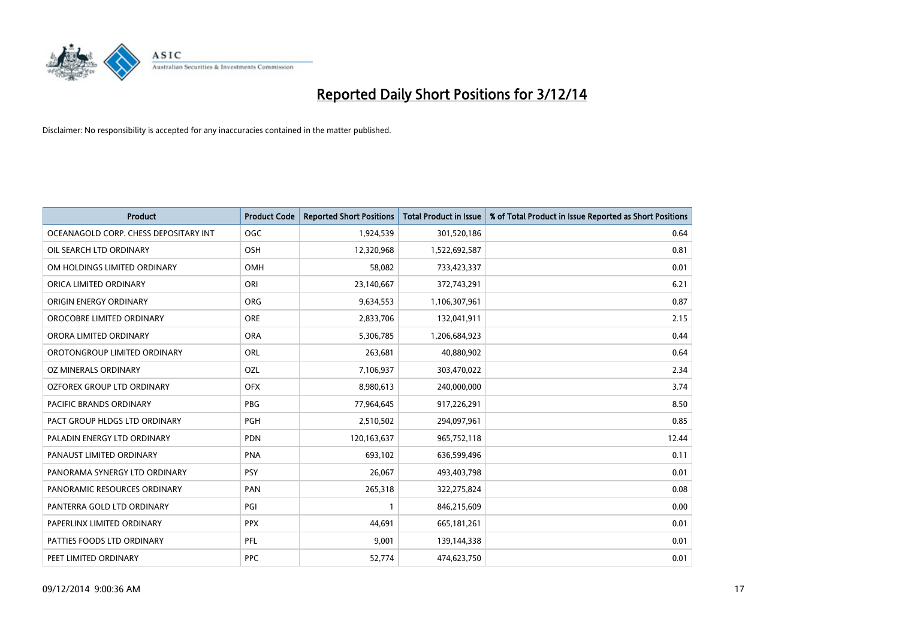

| <b>Product</b>                        | <b>Product Code</b> | <b>Reported Short Positions</b> | <b>Total Product in Issue</b> | % of Total Product in Issue Reported as Short Positions |
|---------------------------------------|---------------------|---------------------------------|-------------------------------|---------------------------------------------------------|
| OCEANAGOLD CORP. CHESS DEPOSITARY INT | <b>OGC</b>          | 1,924,539                       | 301,520,186                   | 0.64                                                    |
| OIL SEARCH LTD ORDINARY               | OSH                 | 12,320,968                      | 1,522,692,587                 | 0.81                                                    |
| OM HOLDINGS LIMITED ORDINARY          | <b>OMH</b>          | 58,082                          | 733,423,337                   | 0.01                                                    |
| ORICA LIMITED ORDINARY                | ORI                 | 23,140,667                      | 372,743,291                   | 6.21                                                    |
| ORIGIN ENERGY ORDINARY                | <b>ORG</b>          | 9,634,553                       | 1,106,307,961                 | 0.87                                                    |
| OROCOBRE LIMITED ORDINARY             | <b>ORE</b>          | 2,833,706                       | 132,041,911                   | 2.15                                                    |
| ORORA LIMITED ORDINARY                | <b>ORA</b>          | 5,306,785                       | 1,206,684,923                 | 0.44                                                    |
| OROTONGROUP LIMITED ORDINARY          | ORL                 | 263,681                         | 40,880,902                    | 0.64                                                    |
| OZ MINERALS ORDINARY                  | OZL                 | 7,106,937                       | 303,470,022                   | 2.34                                                    |
| OZFOREX GROUP LTD ORDINARY            | <b>OFX</b>          | 8,980,613                       | 240,000,000                   | 3.74                                                    |
| <b>PACIFIC BRANDS ORDINARY</b>        | <b>PBG</b>          | 77,964,645                      | 917,226,291                   | 8.50                                                    |
| PACT GROUP HLDGS LTD ORDINARY         | PGH                 | 2,510,502                       | 294,097,961                   | 0.85                                                    |
| PALADIN ENERGY LTD ORDINARY           | <b>PDN</b>          | 120,163,637                     | 965,752,118                   | 12.44                                                   |
| PANAUST LIMITED ORDINARY              | <b>PNA</b>          | 693,102                         | 636,599,496                   | 0.11                                                    |
| PANORAMA SYNERGY LTD ORDINARY         | <b>PSY</b>          | 26,067                          | 493,403,798                   | 0.01                                                    |
| PANORAMIC RESOURCES ORDINARY          | PAN                 | 265,318                         | 322,275,824                   | 0.08                                                    |
| PANTERRA GOLD LTD ORDINARY            | PGI                 | $\mathbf{1}$                    | 846,215,609                   | 0.00                                                    |
| PAPERLINX LIMITED ORDINARY            | <b>PPX</b>          | 44,691                          | 665, 181, 261                 | 0.01                                                    |
| PATTIES FOODS LTD ORDINARY            | PFL                 | 9,001                           | 139,144,338                   | 0.01                                                    |
| PEET LIMITED ORDINARY                 | <b>PPC</b>          | 52,774                          | 474,623,750                   | 0.01                                                    |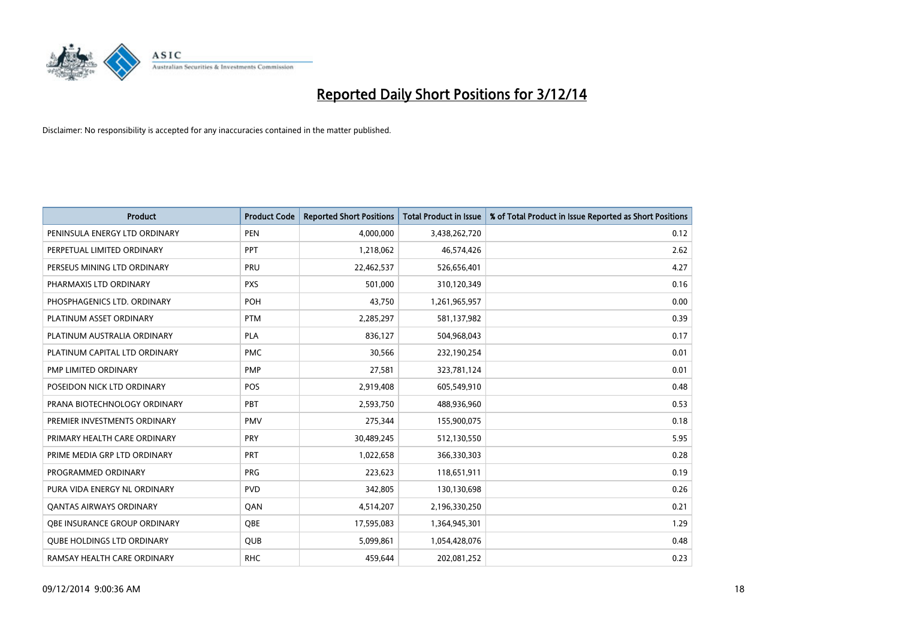

| <b>Product</b>                    | <b>Product Code</b> | <b>Reported Short Positions</b> | Total Product in Issue | % of Total Product in Issue Reported as Short Positions |
|-----------------------------------|---------------------|---------------------------------|------------------------|---------------------------------------------------------|
| PENINSULA ENERGY LTD ORDINARY     | <b>PEN</b>          | 4,000,000                       | 3,438,262,720          | 0.12                                                    |
| PERPETUAL LIMITED ORDINARY        | PPT                 | 1,218,062                       | 46,574,426             | 2.62                                                    |
| PERSEUS MINING LTD ORDINARY       | <b>PRU</b>          | 22,462,537                      | 526,656,401            | 4.27                                                    |
| PHARMAXIS LTD ORDINARY            | <b>PXS</b>          | 501,000                         | 310,120,349            | 0.16                                                    |
| PHOSPHAGENICS LTD. ORDINARY       | POH                 | 43,750                          | 1,261,965,957          | 0.00                                                    |
| PLATINUM ASSET ORDINARY           | <b>PTM</b>          | 2,285,297                       | 581,137,982            | 0.39                                                    |
| PLATINUM AUSTRALIA ORDINARY       | PLA                 | 836,127                         | 504,968,043            | 0.17                                                    |
| PLATINUM CAPITAL LTD ORDINARY     | <b>PMC</b>          | 30,566                          | 232,190,254            | 0.01                                                    |
| PMP LIMITED ORDINARY              | <b>PMP</b>          | 27,581                          | 323,781,124            | 0.01                                                    |
| POSEIDON NICK LTD ORDINARY        | <b>POS</b>          | 2,919,408                       | 605,549,910            | 0.48                                                    |
| PRANA BIOTECHNOLOGY ORDINARY      | <b>PBT</b>          | 2,593,750                       | 488,936,960            | 0.53                                                    |
| PREMIER INVESTMENTS ORDINARY      | <b>PMV</b>          | 275,344                         | 155,900,075            | 0.18                                                    |
| PRIMARY HEALTH CARE ORDINARY      | <b>PRY</b>          | 30,489,245                      | 512,130,550            | 5.95                                                    |
| PRIME MEDIA GRP LTD ORDINARY      | <b>PRT</b>          | 1,022,658                       | 366,330,303            | 0.28                                                    |
| PROGRAMMED ORDINARY               | <b>PRG</b>          | 223,623                         | 118,651,911            | 0.19                                                    |
| PURA VIDA ENERGY NL ORDINARY      | <b>PVD</b>          | 342,805                         | 130,130,698            | 0.26                                                    |
| <b>QANTAS AIRWAYS ORDINARY</b>    | QAN                 | 4,514,207                       | 2,196,330,250          | 0.21                                                    |
| OBE INSURANCE GROUP ORDINARY      | <b>OBE</b>          | 17,595,083                      | 1,364,945,301          | 1.29                                                    |
| <b>QUBE HOLDINGS LTD ORDINARY</b> | QUB                 | 5,099,861                       | 1,054,428,076          | 0.48                                                    |
| RAMSAY HEALTH CARE ORDINARY       | <b>RHC</b>          | 459,644                         | 202,081,252            | 0.23                                                    |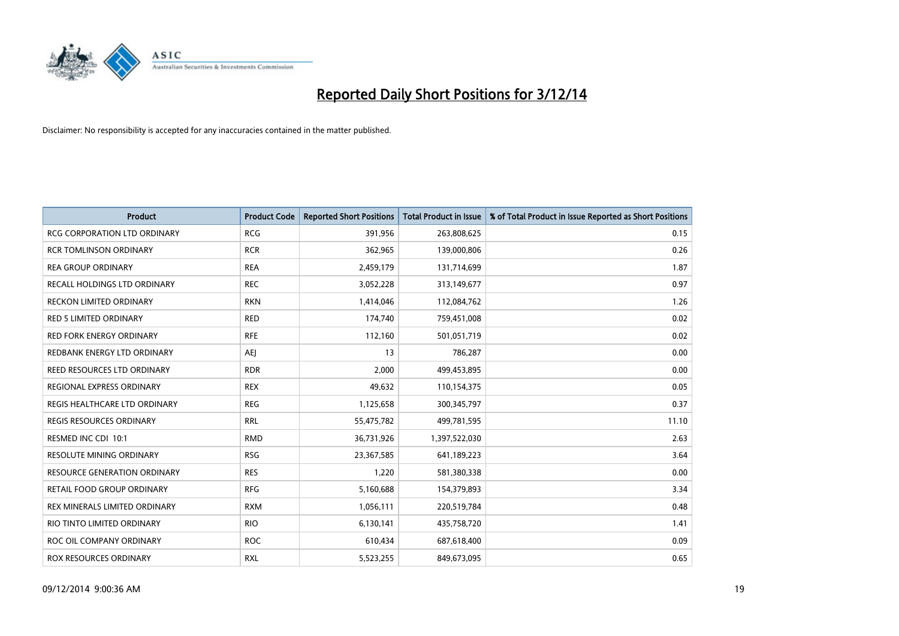

| <b>Product</b>                      | <b>Product Code</b> | <b>Reported Short Positions</b> | <b>Total Product in Issue</b> | % of Total Product in Issue Reported as Short Positions |
|-------------------------------------|---------------------|---------------------------------|-------------------------------|---------------------------------------------------------|
| <b>RCG CORPORATION LTD ORDINARY</b> | <b>RCG</b>          | 391,956                         | 263,808,625                   | 0.15                                                    |
| <b>RCR TOMLINSON ORDINARY</b>       | <b>RCR</b>          | 362,965                         | 139,000,806                   | 0.26                                                    |
| <b>REA GROUP ORDINARY</b>           | <b>REA</b>          | 2,459,179                       | 131,714,699                   | 1.87                                                    |
| RECALL HOLDINGS LTD ORDINARY        | <b>REC</b>          | 3,052,228                       | 313,149,677                   | 0.97                                                    |
| <b>RECKON LIMITED ORDINARY</b>      | <b>RKN</b>          | 1,414,046                       | 112,084,762                   | 1.26                                                    |
| <b>RED 5 LIMITED ORDINARY</b>       | <b>RED</b>          | 174,740                         | 759,451,008                   | 0.02                                                    |
| <b>RED FORK ENERGY ORDINARY</b>     | <b>RFE</b>          | 112,160                         | 501,051,719                   | 0.02                                                    |
| REDBANK ENERGY LTD ORDINARY         | <b>AEI</b>          | 13                              | 786,287                       | 0.00                                                    |
| REED RESOURCES LTD ORDINARY         | <b>RDR</b>          | 2,000                           | 499,453,895                   | 0.00                                                    |
| <b>REGIONAL EXPRESS ORDINARY</b>    | <b>REX</b>          | 49,632                          | 110,154,375                   | 0.05                                                    |
| REGIS HEALTHCARE LTD ORDINARY       | <b>REG</b>          | 1,125,658                       | 300, 345, 797                 | 0.37                                                    |
| <b>REGIS RESOURCES ORDINARY</b>     | <b>RRL</b>          | 55,475,782                      | 499,781,595                   | 11.10                                                   |
| RESMED INC CDI 10:1                 | <b>RMD</b>          | 36,731,926                      | 1,397,522,030                 | 2.63                                                    |
| RESOLUTE MINING ORDINARY            | <b>RSG</b>          | 23,367,585                      | 641,189,223                   | 3.64                                                    |
| <b>RESOURCE GENERATION ORDINARY</b> | <b>RES</b>          | 1,220                           | 581,380,338                   | 0.00                                                    |
| RETAIL FOOD GROUP ORDINARY          | <b>RFG</b>          | 5,160,688                       | 154,379,893                   | 3.34                                                    |
| REX MINERALS LIMITED ORDINARY       | <b>RXM</b>          | 1,056,111                       | 220,519,784                   | 0.48                                                    |
| RIO TINTO LIMITED ORDINARY          | <b>RIO</b>          | 6,130,141                       | 435,758,720                   | 1.41                                                    |
| ROC OIL COMPANY ORDINARY            | <b>ROC</b>          | 610,434                         | 687,618,400                   | 0.09                                                    |
| ROX RESOURCES ORDINARY              | <b>RXL</b>          | 5,523,255                       | 849,673,095                   | 0.65                                                    |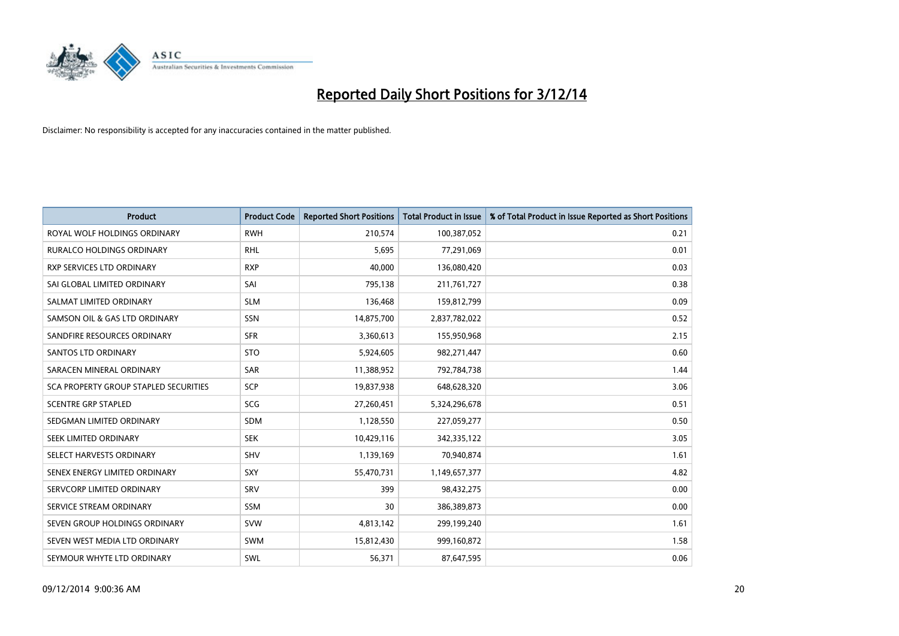

| <b>Product</b>                        | <b>Product Code</b> | <b>Reported Short Positions</b> | <b>Total Product in Issue</b> | % of Total Product in Issue Reported as Short Positions |
|---------------------------------------|---------------------|---------------------------------|-------------------------------|---------------------------------------------------------|
| ROYAL WOLF HOLDINGS ORDINARY          | <b>RWH</b>          | 210,574                         | 100,387,052                   | 0.21                                                    |
| <b>RURALCO HOLDINGS ORDINARY</b>      | <b>RHL</b>          | 5,695                           | 77,291,069                    | 0.01                                                    |
| RXP SERVICES LTD ORDINARY             | <b>RXP</b>          | 40,000                          | 136,080,420                   | 0.03                                                    |
| SAI GLOBAL LIMITED ORDINARY           | SAI                 | 795,138                         | 211,761,727                   | 0.38                                                    |
| SALMAT LIMITED ORDINARY               | <b>SLM</b>          | 136,468                         | 159,812,799                   | 0.09                                                    |
| SAMSON OIL & GAS LTD ORDINARY         | SSN                 | 14,875,700                      | 2,837,782,022                 | 0.52                                                    |
| SANDFIRE RESOURCES ORDINARY           | <b>SFR</b>          | 3,360,613                       | 155,950,968                   | 2.15                                                    |
| <b>SANTOS LTD ORDINARY</b>            | <b>STO</b>          | 5,924,605                       | 982,271,447                   | 0.60                                                    |
| SARACEN MINERAL ORDINARY              | SAR                 | 11,388,952                      | 792,784,738                   | 1.44                                                    |
| SCA PROPERTY GROUP STAPLED SECURITIES | SCP                 | 19,837,938                      | 648,628,320                   | 3.06                                                    |
| <b>SCENTRE GRP STAPLED</b>            | <b>SCG</b>          | 27,260,451                      | 5,324,296,678                 | 0.51                                                    |
| SEDGMAN LIMITED ORDINARY              | <b>SDM</b>          | 1,128,550                       | 227,059,277                   | 0.50                                                    |
| SEEK LIMITED ORDINARY                 | <b>SEK</b>          | 10,429,116                      | 342,335,122                   | 3.05                                                    |
| SELECT HARVESTS ORDINARY              | SHV                 | 1,139,169                       | 70,940,874                    | 1.61                                                    |
| SENEX ENERGY LIMITED ORDINARY         | SXY                 | 55,470,731                      | 1,149,657,377                 | 4.82                                                    |
| SERVCORP LIMITED ORDINARY             | SRV                 | 399                             | 98,432,275                    | 0.00                                                    |
| SERVICE STREAM ORDINARY               | SSM                 | 30                              | 386,389,873                   | 0.00                                                    |
| SEVEN GROUP HOLDINGS ORDINARY         | <b>SVW</b>          | 4,813,142                       | 299,199,240                   | 1.61                                                    |
| SEVEN WEST MEDIA LTD ORDINARY         | <b>SWM</b>          | 15,812,430                      | 999,160,872                   | 1.58                                                    |
| SEYMOUR WHYTE LTD ORDINARY            | SWL                 | 56,371                          | 87,647,595                    | 0.06                                                    |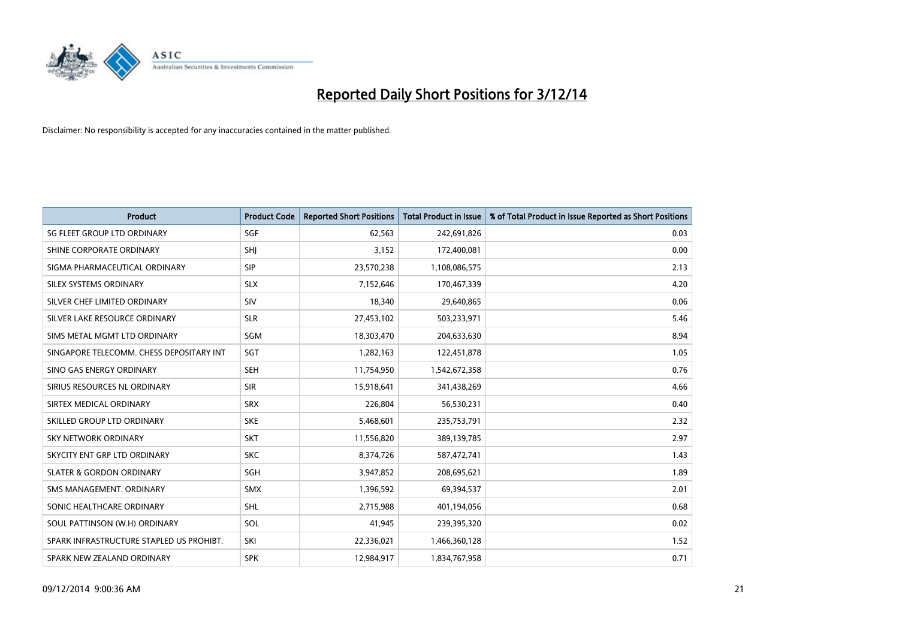

| <b>Product</b>                           | <b>Product Code</b> | <b>Reported Short Positions</b> | <b>Total Product in Issue</b> | % of Total Product in Issue Reported as Short Positions |
|------------------------------------------|---------------------|---------------------------------|-------------------------------|---------------------------------------------------------|
|                                          |                     |                                 |                               |                                                         |
| <b>SG FLEET GROUP LTD ORDINARY</b>       | SGF                 | 62,563                          | 242,691,826                   | 0.03                                                    |
| SHINE CORPORATE ORDINARY                 | SHJ                 | 3,152                           | 172,400,081                   | 0.00                                                    |
| SIGMA PHARMACEUTICAL ORDINARY            | <b>SIP</b>          | 23,570,238                      | 1,108,086,575                 | 2.13                                                    |
| SILEX SYSTEMS ORDINARY                   | <b>SLX</b>          | 7,152,646                       | 170,467,339                   | 4.20                                                    |
| SILVER CHEF LIMITED ORDINARY             | SIV                 | 18,340                          | 29,640,865                    | 0.06                                                    |
| SILVER LAKE RESOURCE ORDINARY            | <b>SLR</b>          | 27,453,102                      | 503,233,971                   | 5.46                                                    |
| SIMS METAL MGMT LTD ORDINARY             | SGM                 | 18,303,470                      | 204,633,630                   | 8.94                                                    |
| SINGAPORE TELECOMM. CHESS DEPOSITARY INT | <b>SGT</b>          | 1,282,163                       | 122,451,878                   | 1.05                                                    |
| SINO GAS ENERGY ORDINARY                 | <b>SEH</b>          | 11,754,950                      | 1,542,672,358                 | 0.76                                                    |
| SIRIUS RESOURCES NL ORDINARY             | <b>SIR</b>          | 15,918,641                      | 341,438,269                   | 4.66                                                    |
| SIRTEX MEDICAL ORDINARY                  | <b>SRX</b>          | 226,804                         | 56,530,231                    | 0.40                                                    |
| SKILLED GROUP LTD ORDINARY               | <b>SKE</b>          | 5,468,601                       | 235,753,791                   | 2.32                                                    |
| SKY NETWORK ORDINARY                     | <b>SKT</b>          | 11,556,820                      | 389,139,785                   | 2.97                                                    |
| SKYCITY ENT GRP LTD ORDINARY             | <b>SKC</b>          | 8,374,726                       | 587,472,741                   | 1.43                                                    |
| <b>SLATER &amp; GORDON ORDINARY</b>      | SGH                 | 3,947,852                       | 208,695,621                   | 1.89                                                    |
| SMS MANAGEMENT, ORDINARY                 | <b>SMX</b>          | 1,396,592                       | 69,394,537                    | 2.01                                                    |
| SONIC HEALTHCARE ORDINARY                | <b>SHL</b>          | 2,715,988                       | 401,194,056                   | 0.68                                                    |
| SOUL PATTINSON (W.H) ORDINARY            | SOL                 | 41,945                          | 239,395,320                   | 0.02                                                    |
| SPARK INFRASTRUCTURE STAPLED US PROHIBT. | SKI                 | 22,336,021                      | 1,466,360,128                 | 1.52                                                    |
| SPARK NEW ZEALAND ORDINARY               | <b>SPK</b>          | 12,984,917                      | 1,834,767,958                 | 0.71                                                    |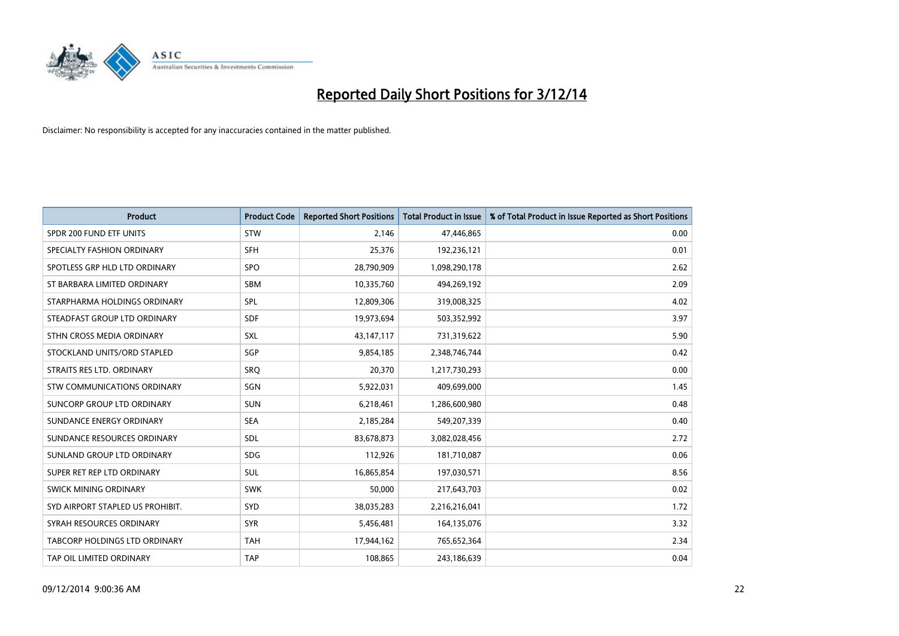

| <b>Product</b>                   | <b>Product Code</b> | <b>Reported Short Positions</b> | <b>Total Product in Issue</b> | % of Total Product in Issue Reported as Short Positions |
|----------------------------------|---------------------|---------------------------------|-------------------------------|---------------------------------------------------------|
| SPDR 200 FUND ETF UNITS          | <b>STW</b>          | 2,146                           | 47,446,865                    | 0.00                                                    |
| SPECIALTY FASHION ORDINARY       | <b>SFH</b>          | 25,376                          | 192,236,121                   | 0.01                                                    |
| SPOTLESS GRP HLD LTD ORDINARY    | <b>SPO</b>          | 28,790,909                      | 1,098,290,178                 | 2.62                                                    |
| ST BARBARA LIMITED ORDINARY      | <b>SBM</b>          | 10,335,760                      | 494,269,192                   | 2.09                                                    |
| STARPHARMA HOLDINGS ORDINARY     | <b>SPL</b>          | 12,809,306                      | 319,008,325                   | 4.02                                                    |
| STEADFAST GROUP LTD ORDINARY     | <b>SDF</b>          | 19,973,694                      | 503,352,992                   | 3.97                                                    |
| STHN CROSS MEDIA ORDINARY        | <b>SXL</b>          | 43,147,117                      | 731,319,622                   | 5.90                                                    |
| STOCKLAND UNITS/ORD STAPLED      | SGP                 | 9,854,185                       | 2,348,746,744                 | 0.42                                                    |
| STRAITS RES LTD. ORDINARY        | SRO                 | 20,370                          | 1,217,730,293                 | 0.00                                                    |
| STW COMMUNICATIONS ORDINARY      | SGN                 | 5,922,031                       | 409,699,000                   | 1.45                                                    |
| SUNCORP GROUP LTD ORDINARY       | <b>SUN</b>          | 6,218,461                       | 1,286,600,980                 | 0.48                                                    |
| SUNDANCE ENERGY ORDINARY         | <b>SEA</b>          | 2,185,284                       | 549,207,339                   | 0.40                                                    |
| SUNDANCE RESOURCES ORDINARY      | <b>SDL</b>          | 83,678,873                      | 3,082,028,456                 | 2.72                                                    |
| SUNLAND GROUP LTD ORDINARY       | <b>SDG</b>          | 112,926                         | 181,710,087                   | 0.06                                                    |
| SUPER RET REP LTD ORDINARY       | <b>SUL</b>          | 16,865,854                      | 197,030,571                   | 8.56                                                    |
| SWICK MINING ORDINARY            | <b>SWK</b>          | 50,000                          | 217,643,703                   | 0.02                                                    |
| SYD AIRPORT STAPLED US PROHIBIT. | <b>SYD</b>          | 38,035,283                      | 2,216,216,041                 | 1.72                                                    |
| SYRAH RESOURCES ORDINARY         | <b>SYR</b>          | 5,456,481                       | 164,135,076                   | 3.32                                                    |
| TABCORP HOLDINGS LTD ORDINARY    | <b>TAH</b>          | 17,944,162                      | 765,652,364                   | 2.34                                                    |
| TAP OIL LIMITED ORDINARY         | <b>TAP</b>          | 108,865                         | 243,186,639                   | 0.04                                                    |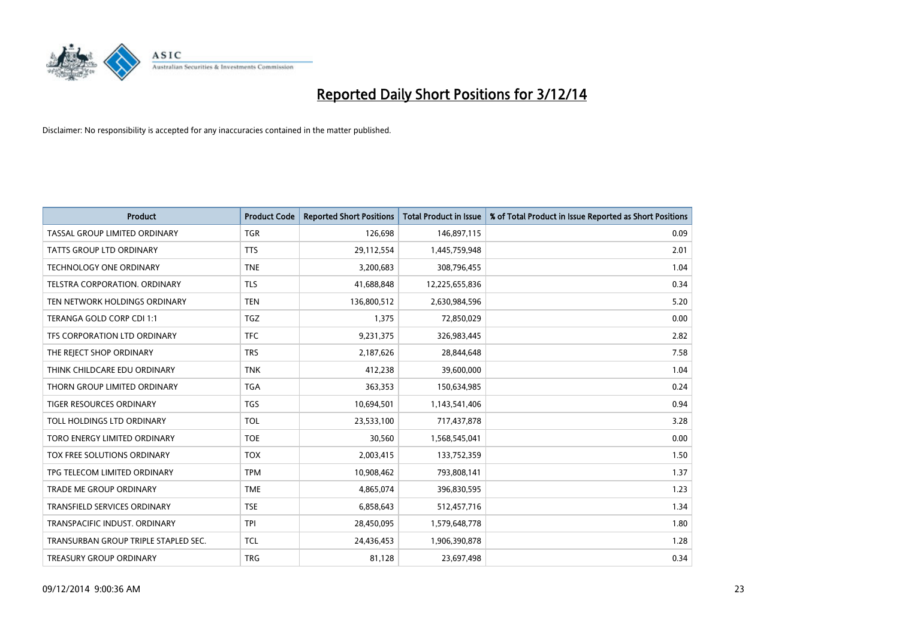

| <b>Product</b>                       | <b>Product Code</b> | <b>Reported Short Positions</b> | <b>Total Product in Issue</b> | % of Total Product in Issue Reported as Short Positions |
|--------------------------------------|---------------------|---------------------------------|-------------------------------|---------------------------------------------------------|
| TASSAL GROUP LIMITED ORDINARY        | <b>TGR</b>          | 126,698                         | 146,897,115                   | 0.09                                                    |
| TATTS GROUP LTD ORDINARY             | <b>TTS</b>          | 29,112,554                      | 1,445,759,948                 | 2.01                                                    |
| <b>TECHNOLOGY ONE ORDINARY</b>       | <b>TNE</b>          | 3,200,683                       | 308,796,455                   | 1.04                                                    |
| TELSTRA CORPORATION, ORDINARY        | <b>TLS</b>          | 41,688,848                      | 12,225,655,836                | 0.34                                                    |
| TEN NETWORK HOLDINGS ORDINARY        | <b>TEN</b>          | 136,800,512                     | 2,630,984,596                 | 5.20                                                    |
| TERANGA GOLD CORP CDI 1:1            | <b>TGZ</b>          | 1,375                           | 72,850,029                    | 0.00                                                    |
| TFS CORPORATION LTD ORDINARY         | <b>TFC</b>          | 9,231,375                       | 326,983,445                   | 2.82                                                    |
| THE REJECT SHOP ORDINARY             | <b>TRS</b>          | 2,187,626                       | 28,844,648                    | 7.58                                                    |
| THINK CHILDCARE EDU ORDINARY         | <b>TNK</b>          | 412,238                         | 39,600,000                    | 1.04                                                    |
| THORN GROUP LIMITED ORDINARY         | <b>TGA</b>          | 363,353                         | 150,634,985                   | 0.24                                                    |
| TIGER RESOURCES ORDINARY             | <b>TGS</b>          | 10,694,501                      | 1,143,541,406                 | 0.94                                                    |
| TOLL HOLDINGS LTD ORDINARY           | <b>TOL</b>          | 23,533,100                      | 717,437,878                   | 3.28                                                    |
| TORO ENERGY LIMITED ORDINARY         | <b>TOE</b>          | 30,560                          | 1,568,545,041                 | 0.00                                                    |
| <b>TOX FREE SOLUTIONS ORDINARY</b>   | <b>TOX</b>          | 2,003,415                       | 133,752,359                   | 1.50                                                    |
| TPG TELECOM LIMITED ORDINARY         | <b>TPM</b>          | 10,908,462                      | 793,808,141                   | 1.37                                                    |
| TRADE ME GROUP ORDINARY              | <b>TME</b>          | 4,865,074                       | 396,830,595                   | 1.23                                                    |
| TRANSFIELD SERVICES ORDINARY         | <b>TSE</b>          | 6,858,643                       | 512,457,716                   | 1.34                                                    |
| TRANSPACIFIC INDUST, ORDINARY        | <b>TPI</b>          | 28,450,095                      | 1,579,648,778                 | 1.80                                                    |
| TRANSURBAN GROUP TRIPLE STAPLED SEC. | TCL                 | 24,436,453                      | 1,906,390,878                 | 1.28                                                    |
| TREASURY GROUP ORDINARY              | <b>TRG</b>          | 81,128                          | 23,697,498                    | 0.34                                                    |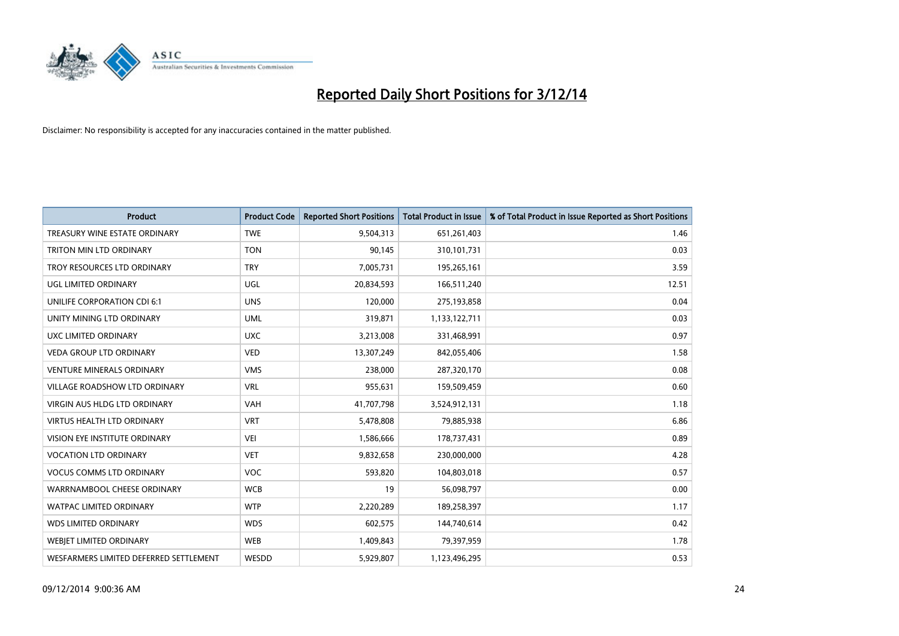

| <b>Product</b>                         | <b>Product Code</b> | <b>Reported Short Positions</b> | <b>Total Product in Issue</b> | % of Total Product in Issue Reported as Short Positions |
|----------------------------------------|---------------------|---------------------------------|-------------------------------|---------------------------------------------------------|
| TREASURY WINE ESTATE ORDINARY          | <b>TWE</b>          | 9,504,313                       | 651,261,403                   | 1.46                                                    |
| TRITON MIN LTD ORDINARY                | <b>TON</b>          | 90,145                          | 310,101,731                   | 0.03                                                    |
| TROY RESOURCES LTD ORDINARY            | <b>TRY</b>          | 7,005,731                       | 195,265,161                   | 3.59                                                    |
| UGL LIMITED ORDINARY                   | UGL                 | 20,834,593                      | 166,511,240                   | 12.51                                                   |
| <b>UNILIFE CORPORATION CDI 6:1</b>     | <b>UNS</b>          | 120,000                         | 275,193,858                   | 0.04                                                    |
| UNITY MINING LTD ORDINARY              | <b>UML</b>          | 319,871                         | 1,133,122,711                 | 0.03                                                    |
| <b>UXC LIMITED ORDINARY</b>            | <b>UXC</b>          | 3,213,008                       | 331,468,991                   | 0.97                                                    |
| <b>VEDA GROUP LTD ORDINARY</b>         | <b>VED</b>          | 13,307,249                      | 842,055,406                   | 1.58                                                    |
| VENTURE MINERALS ORDINARY              | <b>VMS</b>          | 238,000                         | 287,320,170                   | 0.08                                                    |
| <b>VILLAGE ROADSHOW LTD ORDINARY</b>   | <b>VRL</b>          | 955,631                         | 159,509,459                   | 0.60                                                    |
| <b>VIRGIN AUS HLDG LTD ORDINARY</b>    | <b>VAH</b>          | 41,707,798                      | 3,524,912,131                 | 1.18                                                    |
| <b>VIRTUS HEALTH LTD ORDINARY</b>      | <b>VRT</b>          | 5,478,808                       | 79,885,938                    | 6.86                                                    |
| VISION EYE INSTITUTE ORDINARY          | <b>VEI</b>          | 1,586,666                       | 178,737,431                   | 0.89                                                    |
| <b>VOCATION LTD ORDINARY</b>           | <b>VET</b>          | 9,832,658                       | 230,000,000                   | 4.28                                                    |
| <b>VOCUS COMMS LTD ORDINARY</b>        | <b>VOC</b>          | 593,820                         | 104,803,018                   | 0.57                                                    |
| WARRNAMBOOL CHEESE ORDINARY            | <b>WCB</b>          | 19                              | 56,098,797                    | 0.00                                                    |
| <b>WATPAC LIMITED ORDINARY</b>         | <b>WTP</b>          | 2,220,289                       | 189,258,397                   | 1.17                                                    |
| <b>WDS LIMITED ORDINARY</b>            | <b>WDS</b>          | 602,575                         | 144,740,614                   | 0.42                                                    |
| WEBJET LIMITED ORDINARY                | <b>WEB</b>          | 1,409,843                       | 79,397,959                    | 1.78                                                    |
| WESFARMERS LIMITED DEFERRED SETTLEMENT | WESDD               | 5,929,807                       | 1,123,496,295                 | 0.53                                                    |